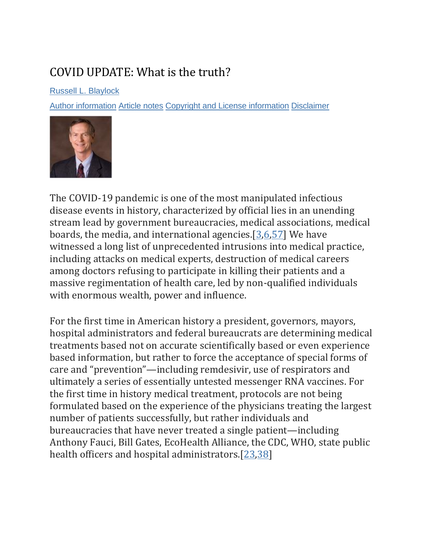# COVID UPDATE: What is the truth?

[Russell L. Blaylock](https://pubmed.ncbi.nlm.nih.gov/?term=Blaylock%20RL%5BAuthor%5D)

[Author information](https://www.ncbi.nlm.nih.gov/pmc/articles/PMC9062939/) [Article notes](https://www.ncbi.nlm.nih.gov/pmc/articles/PMC9062939/) [Copyright and License information](https://www.ncbi.nlm.nih.gov/pmc/articles/PMC9062939/) [Disclaimer](https://www.ncbi.nlm.nih.gov/pmc/about/disclaimer/)



The COVID-19 pandemic is one of the most manipulated infectious disease events in history, characterized by official lies in an unending stream lead by government bureaucracies, medical associations, medical boards, the media, and international agencies.  $[3,6,57]$  $[3,6,57]$  $[3,6,57]$  We have witnessed a long list of unprecedented intrusions into medical practice, including attacks on medical experts, destruction of medical careers among doctors refusing to participate in killing their patients and a massive regimentation of health care, led by non-qualified individuals with enormous wealth, power and influence.

For the first time in American history a president, governors, mayors, hospital administrators and federal bureaucrats are determining medical treatments based not on accurate scientifically based or even experience based information, but rather to force the acceptance of special forms of care and "prevention"—including remdesivir, use of respirators and ultimately a series of essentially untested messenger RNA vaccines. For the first time in history medical treatment, protocols are not being formulated based on the experience of the physicians treating the largest number of patients successfully, but rather individuals and bureaucracies that have never treated a single patient—including Anthony Fauci, Bill Gates, EcoHealth Alliance, the CDC, WHO, state public health officers and hospital administrators.[\[23](https://www.ncbi.nlm.nih.gov/pmc/articles/PMC9062939/#ref23)[,38\]](https://www.ncbi.nlm.nih.gov/pmc/articles/PMC9062939/#ref38)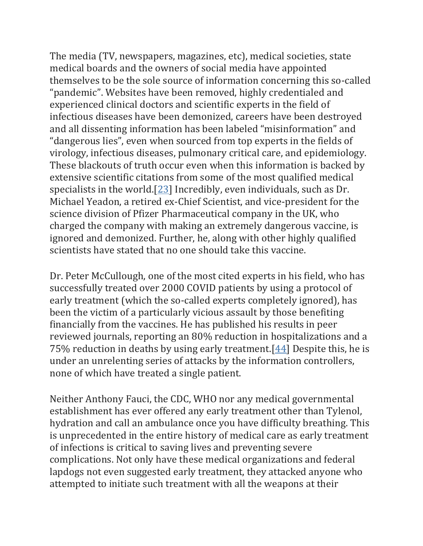The media (TV, newspapers, magazines, etc), medical societies, state medical boards and the owners of social media have appointed themselves to be the sole source of information concerning this so-called "pandemic". Websites have been removed, highly credentialed and experienced clinical doctors and scientific experts in the field of infectious diseases have been demonized, careers have been destroyed and all dissenting information has been labeled "misinformation" and "dangerous lies", even when sourced from top experts in the fields of virology, infectious diseases, pulmonary critical care, and epidemiology. These blackouts of truth occur even when this information is backed by extensive scientific citations from some of the most qualified medical specialists in the world.[\[23\]](https://www.ncbi.nlm.nih.gov/pmc/articles/PMC9062939/#ref23) Incredibly, even individuals, such as Dr. Michael Yeadon, a retired ex-Chief Scientist, and vice-president for the science division of Pfizer Pharmaceutical company in the UK, who charged the company with making an extremely dangerous vaccine, is ignored and demonized. Further, he, along with other highly qualified scientists have stated that no one should take this vaccine.

Dr. Peter McCullough, one of the most cited experts in his field, who has successfully treated over 2000 COVID patients by using a protocol of early treatment (which the so-called experts completely ignored), has been the victim of a particularly vicious assault by those benefiting financially from the vaccines. He has published his results in peer reviewed journals, reporting an 80% reduction in hospitalizations and a 75% reduction in deaths by using early treatment.[\[44\]](https://www.ncbi.nlm.nih.gov/pmc/articles/PMC9062939/#ref44) Despite this, he is under an unrelenting series of attacks by the information controllers, none of which have treated a single patient.

Neither Anthony Fauci, the CDC, WHO nor any medical governmental establishment has ever offered any early treatment other than Tylenol, hydration and call an ambulance once you have difficulty breathing. This is unprecedented in the entire history of medical care as early treatment of infections is critical to saving lives and preventing severe complications. Not only have these medical organizations and federal lapdogs not even suggested early treatment, they attacked anyone who attempted to initiate such treatment with all the weapons at their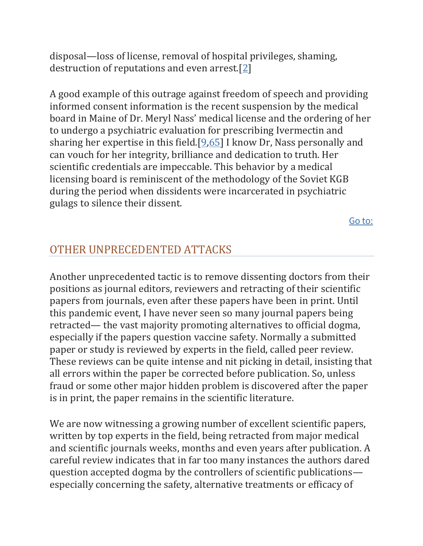disposal—loss of license, removal of hospital privileges, shaming, destruction of reputations and even arrest.[\[2\]](https://www.ncbi.nlm.nih.gov/pmc/articles/PMC9062939/#ref2)

A good example of this outrage against freedom of speech and providing informed consent information is the recent suspension by the medical board in Maine of Dr. Meryl Nass' medical license and the ordering of her to undergo a psychiatric evaluation for prescribing Ivermectin and sharing her expertise in this field.[\[9](https://www.ncbi.nlm.nih.gov/pmc/articles/PMC9062939/#ref9)[,65\]](https://www.ncbi.nlm.nih.gov/pmc/articles/PMC9062939/#ref65) I know Dr, Nass personally and can vouch for her integrity, brilliance and dedication to truth. Her scientific credentials are impeccable. This behavior by a medical licensing board is reminiscent of the methodology of the Soviet KGB during the period when dissidents were incarcerated in psychiatric gulags to silence their dissent.

[Go to:](https://www.ncbi.nlm.nih.gov/pmc/articles/PMC9062939/)

### OTHER UNPRECEDENTED ATTACKS

Another unprecedented tactic is to remove dissenting doctors from their positions as journal editors, reviewers and retracting of their scientific papers from journals, even after these papers have been in print. Until this pandemic event, I have never seen so many journal papers being retracted— the vast majority promoting alternatives to official dogma, especially if the papers question vaccine safety. Normally a submitted paper or study is reviewed by experts in the field, called peer review. These reviews can be quite intense and nit picking in detail, insisting that all errors within the paper be corrected before publication. So, unless fraud or some other major hidden problem is discovered after the paper is in print, the paper remains in the scientific literature.

We are now witnessing a growing number of excellent scientific papers, written by top experts in the field, being retracted from major medical and scientific journals weeks, months and even years after publication. A careful review indicates that in far too many instances the authors dared question accepted dogma by the controllers of scientific publications especially concerning the safety, alternative treatments or efficacy of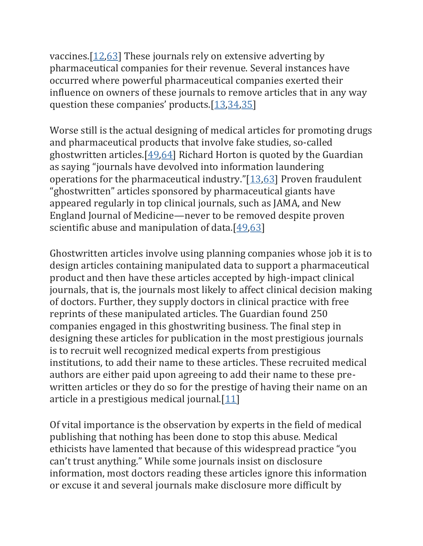vaccines.[\[12,](https://www.ncbi.nlm.nih.gov/pmc/articles/PMC9062939/#ref12)[63\]](https://www.ncbi.nlm.nih.gov/pmc/articles/PMC9062939/#ref63) These journals rely on extensive adverting by pharmaceutical companies for their revenue. Several instances have occurred where powerful pharmaceutical companies exerted their influence on owners of these journals to remove articles that in any way question these companies' products.[[13,](https://www.ncbi.nlm.nih.gov/pmc/articles/PMC9062939/#ref13)[34](https://www.ncbi.nlm.nih.gov/pmc/articles/PMC9062939/#ref34)[,35\]](https://www.ncbi.nlm.nih.gov/pmc/articles/PMC9062939/#ref35)

Worse still is the actual designing of medical articles for promoting drugs and pharmaceutical products that involve fake studies, so-called ghostwritten articles.[\[49](https://www.ncbi.nlm.nih.gov/pmc/articles/PMC9062939/#ref49)[,64\]](https://www.ncbi.nlm.nih.gov/pmc/articles/PMC9062939/#ref64) Richard Horton is quoted by the Guardian as saying "journals have devolved into information laundering operations for the pharmaceutical industry."[[13](https://www.ncbi.nlm.nih.gov/pmc/articles/PMC9062939/#ref13)[,63\]](https://www.ncbi.nlm.nih.gov/pmc/articles/PMC9062939/#ref63) Proven fraudulent "ghostwritten" articles sponsored by pharmaceutical giants have appeared regularly in top clinical journals, such as JAMA, and New England Journal of Medicine—never to be removed despite proven scientific abuse and manipulation of data. $[49,63]$  $[49,63]$ 

Ghostwritten articles involve using planning companies whose job it is to design articles containing manipulated data to support a pharmaceutical product and then have these articles accepted by high-impact clinical journals, that is, the journals most likely to affect clinical decision making of doctors. Further, they supply doctors in clinical practice with free reprints of these manipulated articles. The Guardian found 250 companies engaged in this ghostwriting business. The final step in designing these articles for publication in the most prestigious journals is to recruit well recognized medical experts from prestigious institutions, to add their name to these articles. These recruited medical authors are either paid upon agreeing to add their name to these prewritten articles or they do so for the prestige of having their name on an article in a prestigious medical journal.[\[11\]](https://www.ncbi.nlm.nih.gov/pmc/articles/PMC9062939/#ref11)

Of vital importance is the observation by experts in the field of medical publishing that nothing has been done to stop this abuse. Medical ethicists have lamented that because of this widespread practice "you can't trust anything." While some journals insist on disclosure information, most doctors reading these articles ignore this information or excuse it and several journals make disclosure more difficult by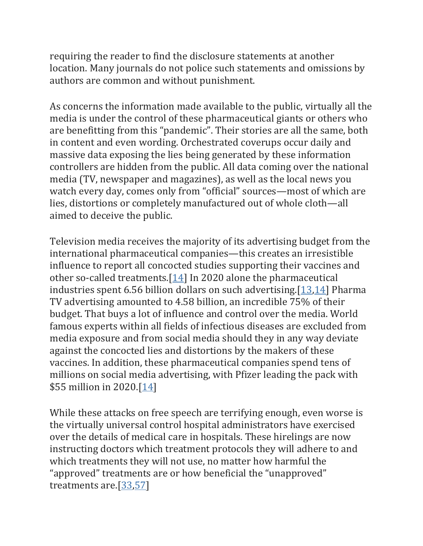requiring the reader to find the disclosure statements at another location. Many journals do not police such statements and omissions by authors are common and without punishment.

As concerns the information made available to the public, virtually all the media is under the control of these pharmaceutical giants or others who are benefitting from this "pandemic". Their stories are all the same, both in content and even wording. Orchestrated coverups occur daily and massive data exposing the lies being generated by these information controllers are hidden from the public. All data coming over the national media (TV, newspaper and magazines), as well as the local news you watch every day, comes only from "official" sources—most of which are lies, distortions or completely manufactured out of whole cloth—all aimed to deceive the public.

Television media receives the majority of its advertising budget from the international pharmaceutical companies—this creates an irresistible influence to report all concocted studies supporting their vaccines and other so-called treatments. $[14]$  In 2020 alone the pharmaceutical industries spent 6.56 billion dollars on such advertising.[\[13](https://www.ncbi.nlm.nih.gov/pmc/articles/PMC9062939/#ref13)[,14\]](https://www.ncbi.nlm.nih.gov/pmc/articles/PMC9062939/#ref14) Pharma TV advertising amounted to 4.58 billion, an incredible 75% of their budget. That buys a lot of influence and control over the media. World famous experts within all fields of infectious diseases are excluded from media exposure and from social media should they in any way deviate against the concocted lies and distortions by the makers of these vaccines. In addition, these pharmaceutical companies spend tens of millions on social media advertising, with Pfizer leading the pack with \$55 million in 2020.[\[14\]](https://www.ncbi.nlm.nih.gov/pmc/articles/PMC9062939/#ref14)

While these attacks on free speech are terrifying enough, even worse is the virtually universal control hospital administrators have exercised over the details of medical care in hospitals. These hirelings are now instructing doctors which treatment protocols they will adhere to and which treatments they will not use, no matter how harmful the "approved" treatments are or how beneficial the "unapproved" treatments are.[\[33,](https://www.ncbi.nlm.nih.gov/pmc/articles/PMC9062939/#ref33)[57\]](https://www.ncbi.nlm.nih.gov/pmc/articles/PMC9062939/#ref57)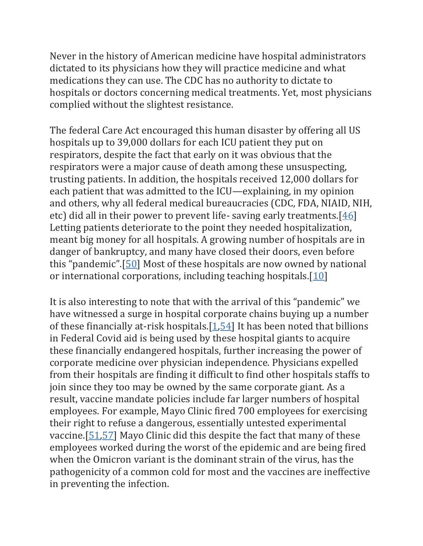Never in the history of American medicine have hospital administrators dictated to its physicians how they will practice medicine and what medications they can use. The CDC has no authority to dictate to hospitals or doctors concerning medical treatments. Yet, most physicians complied without the slightest resistance.

The federal Care Act encouraged this human disaster by offering all US hospitals up to 39,000 dollars for each ICU patient they put on respirators, despite the fact that early on it was obvious that the respirators were a major cause of death among these unsuspecting, trusting patients. In addition, the hospitals received 12,000 dollars for each patient that was admitted to the ICU—explaining, in my opinion and others, why all federal medical bureaucracies (CDC, FDA, NIAID, NIH, etc) did all in their power to prevent life-saving early treatments.  $[46]$ Letting patients deteriorate to the point they needed hospitalization, meant big money for all hospitals. A growing number of hospitals are in danger of bankruptcy, and many have closed their doors, even before this "pandemic".[[50\]](https://www.ncbi.nlm.nih.gov/pmc/articles/PMC9062939/#ref50) Most of these hospitals are now owned by national or international corporations, including teaching hospitals.[\[10\]](https://www.ncbi.nlm.nih.gov/pmc/articles/PMC9062939/#ref10)

It is also interesting to note that with the arrival of this "pandemic" we have witnessed a surge in hospital corporate chains buying up a number of these financially at-risk hospitals.[\[1](https://www.ncbi.nlm.nih.gov/pmc/articles/PMC9062939/#ref1)[,54\]](https://www.ncbi.nlm.nih.gov/pmc/articles/PMC9062939/#ref54) It has been noted that billions in Federal Covid aid is being used by these hospital giants to acquire these financially endangered hospitals, further increasing the power of corporate medicine over physician independence. Physicians expelled from their hospitals are finding it difficult to find other hospitals staffs to join since they too may be owned by the same corporate giant. As a result, vaccine mandate policies include far larger numbers of hospital employees. For example, Mayo Clinic fired 700 employees for exercising their right to refuse a dangerous, essentially untested experimental vaccine.[\[51](https://www.ncbi.nlm.nih.gov/pmc/articles/PMC9062939/#ref51)[,57\]](https://www.ncbi.nlm.nih.gov/pmc/articles/PMC9062939/#ref57) Mayo Clinic did this despite the fact that many of these employees worked during the worst of the epidemic and are being fired when the Omicron variant is the dominant strain of the virus, has the pathogenicity of a common cold for most and the vaccines are ineffective in preventing the infection.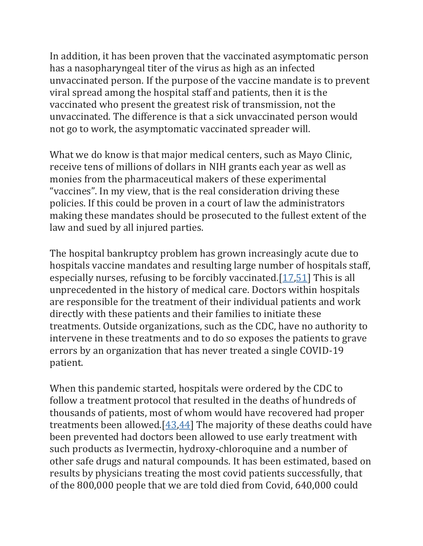In addition, it has been proven that the vaccinated asymptomatic person has a nasopharyngeal titer of the virus as high as an infected unvaccinated person. If the purpose of the vaccine mandate is to prevent viral spread among the hospital staff and patients, then it is the vaccinated who present the greatest risk of transmission, not the unvaccinated. The difference is that a sick unvaccinated person would not go to work, the asymptomatic vaccinated spreader will.

What we do know is that major medical centers, such as Mayo Clinic, receive tens of millions of dollars in NIH grants each year as well as monies from the pharmaceutical makers of these experimental "vaccines". In my view, that is the real consideration driving these policies. If this could be proven in a court of law the administrators making these mandates should be prosecuted to the fullest extent of the law and sued by all injured parties.

The hospital bankruptcy problem has grown increasingly acute due to hospitals vaccine mandates and resulting large number of hospitals staff, especially nurses, refusing to be forcibly vaccinated.[\[17](https://www.ncbi.nlm.nih.gov/pmc/articles/PMC9062939/#ref17)[,51\]](https://www.ncbi.nlm.nih.gov/pmc/articles/PMC9062939/#ref51) This is all unprecedented in the history of medical care. Doctors within hospitals are responsible for the treatment of their individual patients and work directly with these patients and their families to initiate these treatments. Outside organizations, such as the CDC, have no authority to intervene in these treatments and to do so exposes the patients to grave errors by an organization that has never treated a single COVID-19 patient.

When this pandemic started, hospitals were ordered by the CDC to follow a treatment protocol that resulted in the deaths of hundreds of thousands of patients, most of whom would have recovered had proper treatments been allowed.[\[43](https://www.ncbi.nlm.nih.gov/pmc/articles/PMC9062939/#ref43)[,44\]](https://www.ncbi.nlm.nih.gov/pmc/articles/PMC9062939/#ref44) The majority of these deaths could have been prevented had doctors been allowed to use early treatment with such products as Ivermectin, hydroxy-chloroquine and a number of other safe drugs and natural compounds. It has been estimated, based on results by physicians treating the most covid patients successfully, that of the 800,000 people that we are told died from Covid, 640,000 could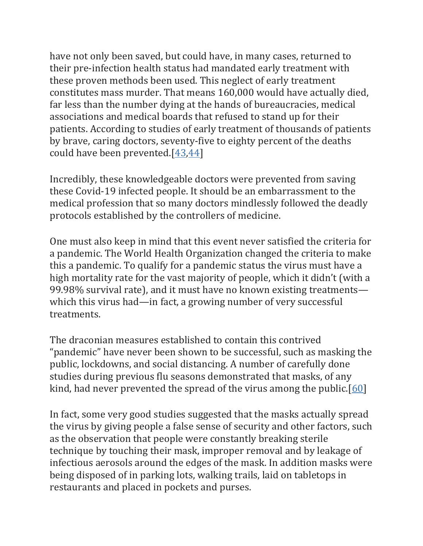have not only been saved, but could have, in many cases, returned to their pre-infection health status had mandated early treatment with these proven methods been used. This neglect of early treatment constitutes mass murder. That means 160,000 would have actually died, far less than the number dying at the hands of bureaucracies, medical associations and medical boards that refused to stand up for their patients. According to studies of early treatment of thousands of patients by brave, caring doctors, seventy-five to eighty percent of the deaths could have been prevented.[\[43](https://www.ncbi.nlm.nih.gov/pmc/articles/PMC9062939/#ref43)[,44\]](https://www.ncbi.nlm.nih.gov/pmc/articles/PMC9062939/#ref44)

Incredibly, these knowledgeable doctors were prevented from saving these Covid-19 infected people. It should be an embarrassment to the medical profession that so many doctors mindlessly followed the deadly protocols established by the controllers of medicine.

One must also keep in mind that this event never satisfied the criteria for a pandemic. The World Health Organization changed the criteria to make this a pandemic. To qualify for a pandemic status the virus must have a high mortality rate for the vast majority of people, which it didn't (with a 99.98% survival rate), and it must have no known existing treatments which this virus had—in fact, a growing number of very successful treatments.

The draconian measures established to contain this contrived "pandemic" have never been shown to be successful, such as masking the public, lockdowns, and social distancing. A number of carefully done studies during previous flu seasons demonstrated that masks, of any kind, had never prevented the spread of the virus among the public.[\[60\]](https://www.ncbi.nlm.nih.gov/pmc/articles/PMC9062939/#ref60)

In fact, some very good studies suggested that the masks actually spread the virus by giving people a false sense of security and other factors, such as the observation that people were constantly breaking sterile technique by touching their mask, improper removal and by leakage of infectious aerosols around the edges of the mask. In addition masks were being disposed of in parking lots, walking trails, laid on tabletops in restaurants and placed in pockets and purses.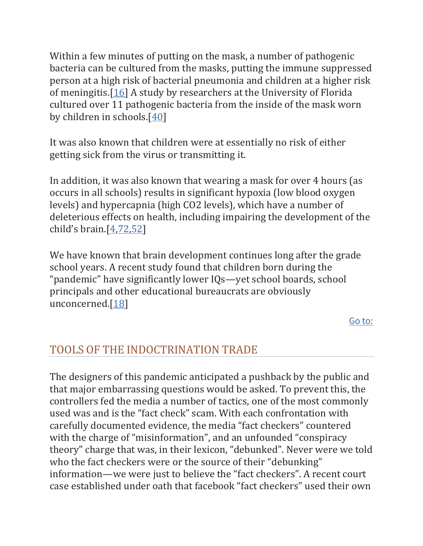Within a few minutes of putting on the mask, a number of pathogenic bacteria can be cultured from the masks, putting the immune suppressed person at a high risk of bacterial pneumonia and children at a higher risk of meningitis.[\[16\]](https://www.ncbi.nlm.nih.gov/pmc/articles/PMC9062939/#ref16) A study by researchers at the University of Florida cultured over 11 pathogenic bacteria from the inside of the mask worn by children in schools.[\[40\]](https://www.ncbi.nlm.nih.gov/pmc/articles/PMC9062939/#ref40)

It was also known that children were at essentially no risk of either getting sick from the virus or transmitting it.

In addition, it was also known that wearing a mask for over 4 hours (as occurs in all schools) results in significant hypoxia (low blood oxygen levels) and hypercapnia (high CO2 levels), which have a number of deleterious effects on health, including impairing the development of the child's brain. $[4, 72, 52]$  $[4, 72, 52]$  $[4, 72, 52]$ 

We have known that brain development continues long after the grade school years. A recent study found that children born during the "pandemic" have significantly lower IQs—yet school boards, school principals and other educational bureaucrats are obviously unconcerned.[\[18\]](https://www.ncbi.nlm.nih.gov/pmc/articles/PMC9062939/#ref18)

[Go to:](https://www.ncbi.nlm.nih.gov/pmc/articles/PMC9062939/)

## TOOLS OF THE INDOCTRINATION TRADE

The designers of this pandemic anticipated a pushback by the public and that major embarrassing questions would be asked. To prevent this, the controllers fed the media a number of tactics, one of the most commonly used was and is the "fact check" scam. With each confrontation with carefully documented evidence, the media "fact checkers" countered with the charge of "misinformation", and an unfounded "conspiracy theory" charge that was, in their lexicon, "debunked". Never were we told who the fact checkers were or the source of their "debunking" information—we were just to believe the "fact checkers". A recent court case established under oath that facebook "fact checkers" used their own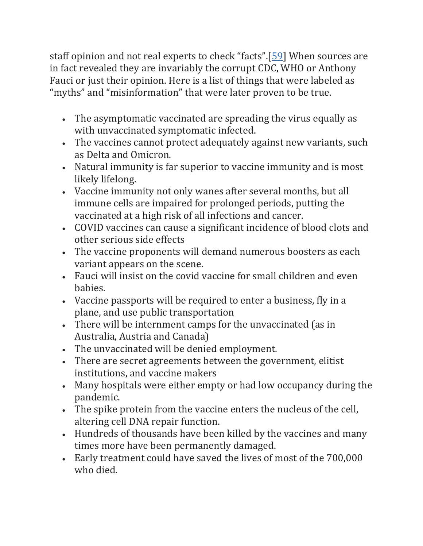staff opinion and not real experts to check "facts".[[59\]](https://www.ncbi.nlm.nih.gov/pmc/articles/PMC9062939/#ref59) When sources are in fact revealed they are invariably the corrupt CDC, WHO or Anthony Fauci or just their opinion. Here is a list of things that were labeled as "myths" and "misinformation" that were later proven to be true.

- The asymptomatic vaccinated are spreading the virus equally as with unvaccinated symptomatic infected.
- The vaccines cannot protect adequately against new variants, such as Delta and Omicron.
- Natural immunity is far superior to vaccine immunity and is most likely lifelong.
- Vaccine immunity not only wanes after several months, but all immune cells are impaired for prolonged periods, putting the vaccinated at a high risk of all infections and cancer.
- COVID vaccines can cause a significant incidence of blood clots and other serious side effects
- The vaccine proponents will demand numerous boosters as each variant appears on the scene.
- Fauci will insist on the covid vaccine for small children and even babies.
- Vaccine passports will be required to enter a business, fly in a plane, and use public transportation
- There will be internment camps for the unvaccinated (as in Australia, Austria and Canada)
- The unvaccinated will be denied employment.
- There are secret agreements between the government, elitist institutions, and vaccine makers
- Many hospitals were either empty or had low occupancy during the pandemic.
- The spike protein from the vaccine enters the nucleus of the cell, altering cell DNA repair function.
- Hundreds of thousands have been killed by the vaccines and many times more have been permanently damaged.
- Early treatment could have saved the lives of most of the 700,000 who died.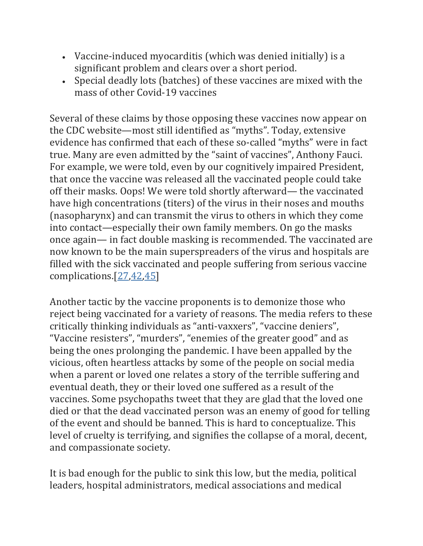- Vaccine-induced myocarditis (which was denied initially) is a significant problem and clears over a short period.
- Special deadly lots (batches) of these vaccines are mixed with the mass of other Covid-19 vaccines

Several of these claims by those opposing these vaccines now appear on the CDC website—most still identified as "myths". Today, extensive evidence has confirmed that each of these so-called "myths" were in fact true. Many are even admitted by the "saint of vaccines", Anthony Fauci. For example, we were told, even by our cognitively impaired President, that once the vaccine was released all the vaccinated people could take off their masks. Oops! We were told shortly afterward— the vaccinated have high concentrations (titers) of the virus in their noses and mouths (nasopharynx) and can transmit the virus to others in which they come into contact—especially their own family members. On go the masks once again— in fact double masking is recommended. The vaccinated are now known to be the main superspreaders of the virus and hospitals are filled with the sick vaccinated and people suffering from serious vaccine complications.[\[27](https://www.ncbi.nlm.nih.gov/pmc/articles/PMC9062939/#ref27)[,42](https://www.ncbi.nlm.nih.gov/pmc/articles/PMC9062939/#ref42)[,45\]](https://www.ncbi.nlm.nih.gov/pmc/articles/PMC9062939/#ref45)

Another tactic by the vaccine proponents is to demonize those who reject being vaccinated for a variety of reasons. The media refers to these critically thinking individuals as "anti-vaxxers", "vaccine deniers", "Vaccine resisters", "murders", "enemies of the greater good" and as being the ones prolonging the pandemic. I have been appalled by the vicious, often heartless attacks by some of the people on social media when a parent or loved one relates a story of the terrible suffering and eventual death, they or their loved one suffered as a result of the vaccines. Some psychopaths tweet that they are glad that the loved one died or that the dead vaccinated person was an enemy of good for telling of the event and should be banned. This is hard to conceptualize. This level of cruelty is terrifying, and signifies the collapse of a moral, decent, and compassionate society.

It is bad enough for the public to sink this low, but the media, political leaders, hospital administrators, medical associations and medical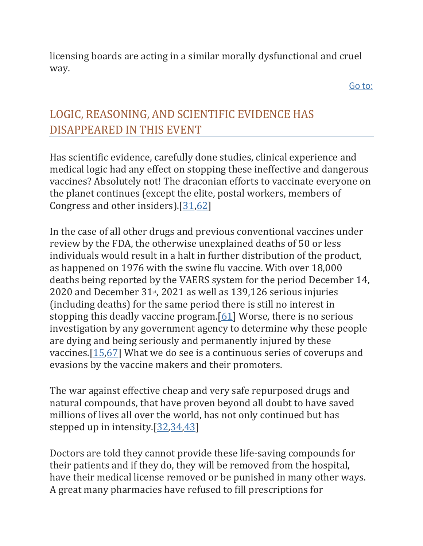licensing boards are acting in a similar morally dysfunctional and cruel way.

[Go to:](https://www.ncbi.nlm.nih.gov/pmc/articles/PMC9062939/)

# LOGIC, REASONING, AND SCIENTIFIC EVIDENCE HAS DISAPPEARED IN THIS EVENT

Has scientific evidence, carefully done studies, clinical experience and medical logic had any effect on stopping these ineffective and dangerous vaccines? Absolutely not! The draconian efforts to vaccinate everyone on the planet continues (except the elite, postal workers, members of Congress and other insiders).[\[31](https://www.ncbi.nlm.nih.gov/pmc/articles/PMC9062939/#ref31)[,62\]](https://www.ncbi.nlm.nih.gov/pmc/articles/PMC9062939/#ref62)

In the case of all other drugs and previous conventional vaccines under review by the FDA, the otherwise unexplained deaths of 50 or less individuals would result in a halt in further distribution of the product, as happened on 1976 with the swine flu vaccine. With over 18,000 deaths being reported by the VAERS system for the period December 14, 2020 and December  $31<sub>st</sub>$ , 2021 as well as 139,126 serious injuries (including deaths) for the same period there is still no interest in stopping this deadly vaccine program.[\[61\]](https://www.ncbi.nlm.nih.gov/pmc/articles/PMC9062939/#ref61) Worse, there is no serious investigation by any government agency to determine why these people are dying and being seriously and permanently injured by these vaccines.[\[15,](https://www.ncbi.nlm.nih.gov/pmc/articles/PMC9062939/#ref15)[67\]](https://www.ncbi.nlm.nih.gov/pmc/articles/PMC9062939/#ref67) What we do see is a continuous series of coverups and evasions by the vaccine makers and their promoters.

The war against effective cheap and very safe repurposed drugs and natural compounds, that have proven beyond all doubt to have saved millions of lives all over the world, has not only continued but has stepped up in intensity.[\[32,](https://www.ncbi.nlm.nih.gov/pmc/articles/PMC9062939/#ref32)[34](https://www.ncbi.nlm.nih.gov/pmc/articles/PMC9062939/#ref34)[,43\]](https://www.ncbi.nlm.nih.gov/pmc/articles/PMC9062939/#ref43)

Doctors are told they cannot provide these life-saving compounds for their patients and if they do, they will be removed from the hospital, have their medical license removed or be punished in many other ways. A great many pharmacies have refused to fill prescriptions for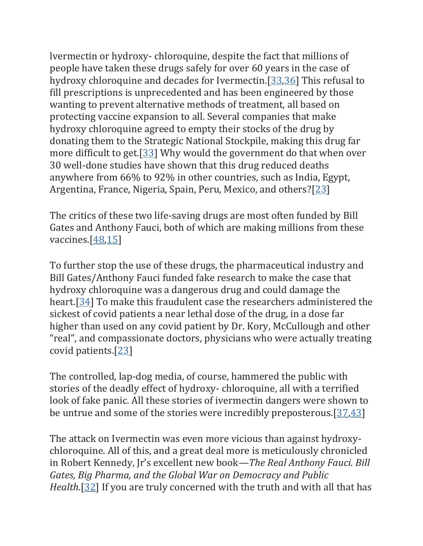lvermectin or hydroxy- chloroquine, despite the fact that millions of people have taken these drugs safely for over 60 years in the case of hydroxy chloroquine and decades for Ivermectin.[\[33](https://www.ncbi.nlm.nih.gov/pmc/articles/PMC9062939/#ref33)[,36\]](https://www.ncbi.nlm.nih.gov/pmc/articles/PMC9062939/#ref36) This refusal to fill prescriptions is unprecedented and has been engineered by those wanting to prevent alternative methods of treatment, all based on protecting vaccine expansion to all. Several companies that make hydroxy chloroquine agreed to empty their stocks of the drug by donating them to the Strategic National Stockpile, making this drug far more difficult to get.[\[33\]](https://www.ncbi.nlm.nih.gov/pmc/articles/PMC9062939/#ref33) Why would the government do that when over 30 well-done studies have shown that this drug reduced deaths anywhere from 66% to 92% in other countries, such as India, Egypt, Argentina, France, Nigeria, Spain, Peru, Mexico, and others?[\[23\]](https://www.ncbi.nlm.nih.gov/pmc/articles/PMC9062939/#ref23)

The critics of these two life-saving drugs are most often funded by Bill Gates and Anthony Fauci, both of which are making millions from these vaccines.[\[48,](https://www.ncbi.nlm.nih.gov/pmc/articles/PMC9062939/#ref48)[15\]](https://www.ncbi.nlm.nih.gov/pmc/articles/PMC9062939/#ref15)

To further stop the use of these drugs, the pharmaceutical industry and Bill Gates/Anthony Fauci funded fake research to make the case that hydroxy chloroquine was a dangerous drug and could damage the heart.[\[34\]](https://www.ncbi.nlm.nih.gov/pmc/articles/PMC9062939/#ref34) To make this fraudulent case the researchers administered the sickest of covid patients a near lethal dose of the drug, in a dose far higher than used on any covid patient by Dr. Kory, McCullough and other "real", and compassionate doctors, physicians who were actually treating covid patients.[\[23\]](https://www.ncbi.nlm.nih.gov/pmc/articles/PMC9062939/#ref23)

The controlled, lap-dog media, of course, hammered the public with stories of the deadly effect of hydroxy- chloroquine, all with a terrified look of fake panic. All these stories of ivermectin dangers were shown to be untrue and some of the stories were incredibly preposterous.[\[37](https://www.ncbi.nlm.nih.gov/pmc/articles/PMC9062939/#ref37)[,43\]](https://www.ncbi.nlm.nih.gov/pmc/articles/PMC9062939/#ref43)

The attack on Ivermectin was even more vicious than against hydroxychloroquine. All of this, and a great deal more is meticulously chronicled in Robert Kennedy, Jr's excellent new book—*The Real Anthony Fauci. Bill Gates, Big Pharma, and the Global War on Democracy and Public Health*.[\[32\]](https://www.ncbi.nlm.nih.gov/pmc/articles/PMC9062939/#ref32) If you are truly concerned with the truth and with all that has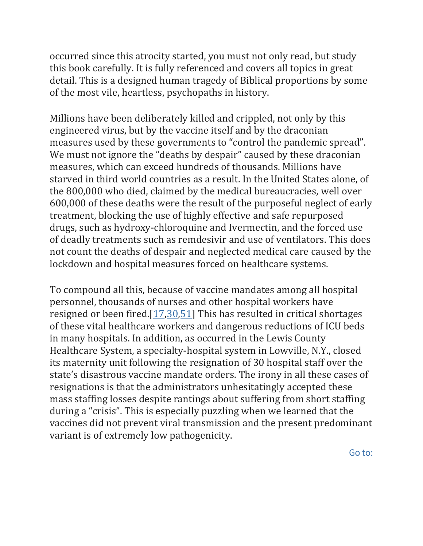occurred since this atrocity started, you must not only read, but study this book carefully. It is fully referenced and covers all topics in great detail. This is a designed human tragedy of Biblical proportions by some of the most vile, heartless, psychopaths in history.

Millions have been deliberately killed and crippled, not only by this engineered virus, but by the vaccine itself and by the draconian measures used by these governments to "control the pandemic spread". We must not ignore the "deaths by despair" caused by these draconian measures, which can exceed hundreds of thousands. Millions have starved in third world countries as a result. In the United States alone, of the 800,000 who died, claimed by the medical bureaucracies, well over 600,000 of these deaths were the result of the purposeful neglect of early treatment, blocking the use of highly effective and safe repurposed drugs, such as hydroxy-chloroquine and Ivermectin, and the forced use of deadly treatments such as remdesivir and use of ventilators. This does not count the deaths of despair and neglected medical care caused by the lockdown and hospital measures forced on healthcare systems.

To compound all this, because of vaccine mandates among all hospital personnel, thousands of nurses and other hospital workers have resigned or been fired. $[17,30,51]$  $[17,30,51]$  $[17,30,51]$  This has resulted in critical shortages of these vital healthcare workers and dangerous reductions of ICU beds in many hospitals. In addition, as occurred in the Lewis County Healthcare System, a specialty-hospital system in Lowville, N.Y., closed its maternity unit following the resignation of 30 hospital staff over the state's disastrous vaccine mandate orders. The irony in all these cases of resignations is that the administrators unhesitatingly accepted these mass staffing losses despite rantings about suffering from short staffing during a "crisis". This is especially puzzling when we learned that the vaccines did not prevent viral transmission and the present predominant variant is of extremely low pathogenicity.

[Go to:](https://www.ncbi.nlm.nih.gov/pmc/articles/PMC9062939/)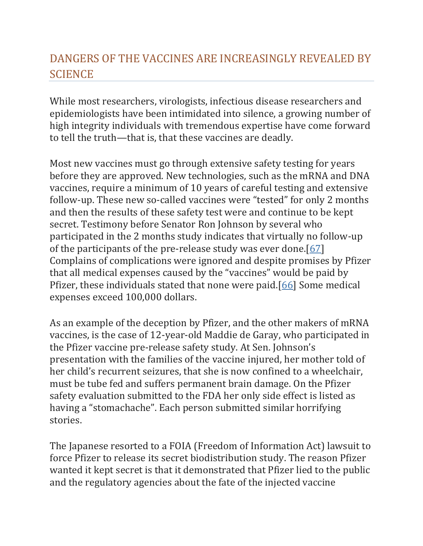# DANGERS OF THE VACCINES ARE INCREASINGLY REVEALED BY **SCIENCE**

While most researchers, virologists, infectious disease researchers and epidemiologists have been intimidated into silence, a growing number of high integrity individuals with tremendous expertise have come forward to tell the truth—that is, that these vaccines are deadly.

Most new vaccines must go through extensive safety testing for years before they are approved. New technologies, such as the mRNA and DNA vaccines, require a minimum of 10 years of careful testing and extensive follow-up. These new so-called vaccines were "tested" for only 2 months and then the results of these safety test were and continue to be kept secret. Testimony before Senator Ron Johnson by several who participated in the 2 months study indicates that virtually no follow-up of the participants of the pre-release study was ever done.[\[67\]](https://www.ncbi.nlm.nih.gov/pmc/articles/PMC9062939/#ref67) Complains of complications were ignored and despite promises by Pfizer that all medical expenses caused by the "vaccines" would be paid by Pfizer, these individuals stated that none were paid.[\[66\]](https://www.ncbi.nlm.nih.gov/pmc/articles/PMC9062939/#ref66) Some medical expenses exceed 100,000 dollars.

As an example of the deception by Pfizer, and the other makers of mRNA vaccines, is the case of 12-year-old Maddie de Garay, who participated in the Pfizer vaccine pre-release safety study. At Sen. Johnson's presentation with the families of the vaccine injured, her mother told of her child's recurrent seizures, that she is now confined to a wheelchair, must be tube fed and suffers permanent brain damage. On the Pfizer safety evaluation submitted to the FDA her only side effect is listed as having a "stomachache". Each person submitted similar horrifying stories.

The Japanese resorted to a FOIA (Freedom of Information Act) lawsuit to force Pfizer to release its secret biodistribution study. The reason Pfizer wanted it kept secret is that it demonstrated that Pfizer lied to the public and the regulatory agencies about the fate of the injected vaccine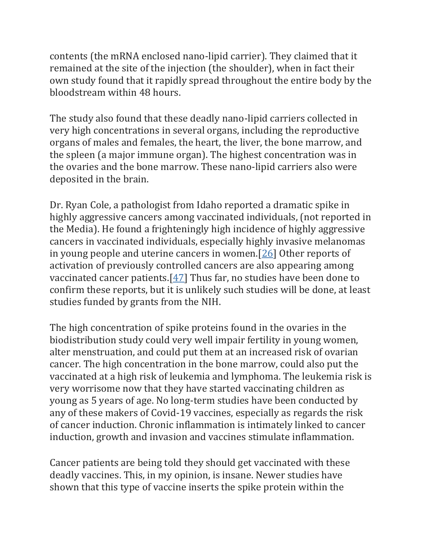contents (the mRNA enclosed nano-lipid carrier). They claimed that it remained at the site of the injection (the shoulder), when in fact their own study found that it rapidly spread throughout the entire body by the bloodstream within 48 hours.

The study also found that these deadly nano-lipid carriers collected in very high concentrations in several organs, including the reproductive organs of males and females, the heart, the liver, the bone marrow, and the spleen (a major immune organ). The highest concentration was in the ovaries and the bone marrow. These nano-lipid carriers also were deposited in the brain.

Dr. Ryan Cole, a pathologist from Idaho reported a dramatic spike in highly aggressive cancers among vaccinated individuals, (not reported in the Media). He found a frighteningly high incidence of highly aggressive cancers in vaccinated individuals, especially highly invasive melanomas in young people and uterine cancers in women.[\[26\]](https://www.ncbi.nlm.nih.gov/pmc/articles/PMC9062939/#ref26) Other reports of activation of previously controlled cancers are also appearing among vaccinated cancer patients.[\[47\]](https://www.ncbi.nlm.nih.gov/pmc/articles/PMC9062939/#ref47) Thus far, no studies have been done to confirm these reports, but it is unlikely such studies will be done, at least studies funded by grants from the NIH.

The high concentration of spike proteins found in the ovaries in the biodistribution study could very well impair fertility in young women, alter menstruation, and could put them at an increased risk of ovarian cancer. The high concentration in the bone marrow, could also put the vaccinated at a high risk of leukemia and lymphoma. The leukemia risk is very worrisome now that they have started vaccinating children as young as 5 years of age. No long-term studies have been conducted by any of these makers of Covid-19 vaccines, especially as regards the risk of cancer induction. Chronic inflammation is intimately linked to cancer induction, growth and invasion and vaccines stimulate inflammation.

Cancer patients are being told they should get vaccinated with these deadly vaccines. This, in my opinion, is insane. Newer studies have shown that this type of vaccine inserts the spike protein within the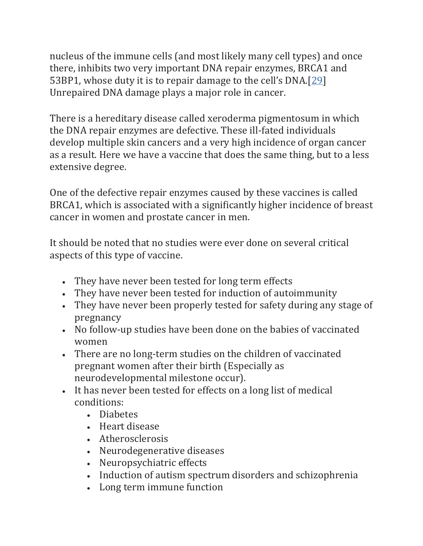nucleus of the immune cells (and most likely many cell types) and once there, inhibits two very important DNA repair enzymes, BRCA1 and 53BP1, whose duty it is to repair damage to the cell's DNA.[[29\]](https://www.ncbi.nlm.nih.gov/pmc/articles/PMC9062939/#ref29) Unrepaired DNA damage plays a major role in cancer.

There is a hereditary disease called xeroderma pigmentosum in which the DNA repair enzymes are defective. These ill-fated individuals develop multiple skin cancers and a very high incidence of organ cancer as a result. Here we have a vaccine that does the same thing, but to a less extensive degree.

One of the defective repair enzymes caused by these vaccines is called BRCA1, which is associated with a significantly higher incidence of breast cancer in women and prostate cancer in men.

It should be noted that no studies were ever done on several critical aspects of this type of vaccine.

- They have never been tested for long term effects
- They have never been tested for induction of autoimmunity
- They have never been properly tested for safety during any stage of pregnancy
- No follow-up studies have been done on the babies of vaccinated women
- There are no long-term studies on the children of vaccinated pregnant women after their birth (Especially as neurodevelopmental milestone occur).
- It has never been tested for effects on a long list of medical conditions:
	- Diabetes
	- Heart disease
	- Atherosclerosis
	- Neurodegenerative diseases
	- Neuropsychiatric effects
	- Induction of autism spectrum disorders and schizophrenia
	- Long term immune function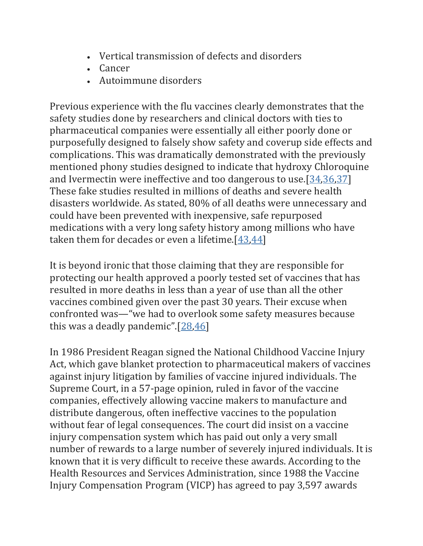- Vertical transmission of defects and disorders
- Cancer
- Autoimmune disorders

Previous experience with the flu vaccines clearly demonstrates that the safety studies done by researchers and clinical doctors with ties to pharmaceutical companies were essentially all either poorly done or purposefully designed to falsely show safety and coverup side effects and complications. This was dramatically demonstrated with the previously mentioned phony studies designed to indicate that hydroxy Chloroquine and Ivermectin were ineffective and too dangerous to use.[\[34](https://www.ncbi.nlm.nih.gov/pmc/articles/PMC9062939/#ref34)[,36](https://www.ncbi.nlm.nih.gov/pmc/articles/PMC9062939/#ref36)[,37\]](https://www.ncbi.nlm.nih.gov/pmc/articles/PMC9062939/#ref37) These fake studies resulted in millions of deaths and severe health disasters worldwide. As stated, 80% of all deaths were unnecessary and could have been prevented with inexpensive, safe repurposed medications with a very long safety history among millions who have taken them for decades or even a lifetime.[\[43,](https://www.ncbi.nlm.nih.gov/pmc/articles/PMC9062939/#ref43)[44\]](https://www.ncbi.nlm.nih.gov/pmc/articles/PMC9062939/#ref44)

It is beyond ironic that those claiming that they are responsible for protecting our health approved a poorly tested set of vaccines that has resulted in more deaths in less than a year of use than all the other vaccines combined given over the past 30 years. Their excuse when confronted was—"we had to overlook some safety measures because this was a deadly pandemic".[[28,](https://www.ncbi.nlm.nih.gov/pmc/articles/PMC9062939/#ref28)[46\]](https://www.ncbi.nlm.nih.gov/pmc/articles/PMC9062939/#ref46)

In 1986 President Reagan signed the National Childhood Vaccine Injury Act, which gave blanket protection to pharmaceutical makers of vaccines against injury litigation by families of vaccine injured individuals. The Supreme Court, in a 57-page opinion, ruled in favor of the vaccine companies, effectively allowing vaccine makers to manufacture and distribute dangerous, often ineffective vaccines to the population without fear of legal consequences. The court did insist on a vaccine injury compensation system which has paid out only a very small number of rewards to a large number of severely injured individuals. It is known that it is very difficult to receive these awards. According to the Health Resources and Services Administration, since 1988 the Vaccine Injury Compensation Program (VICP) has agreed to pay 3,597 awards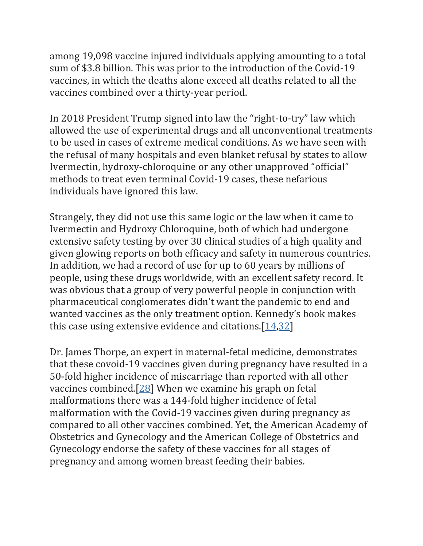among 19,098 vaccine injured individuals applying amounting to a total sum of \$3.8 billion. This was prior to the introduction of the Covid-19 vaccines, in which the deaths alone exceed all deaths related to all the vaccines combined over a thirty-year period.

In 2018 President Trump signed into law the "right-to-try" law which allowed the use of experimental drugs and all unconventional treatments to be used in cases of extreme medical conditions. As we have seen with the refusal of many hospitals and even blanket refusal by states to allow Ivermectin, hydroxy-chloroquine or any other unapproved "official" methods to treat even terminal Covid-19 cases, these nefarious individuals have ignored this law.

Strangely, they did not use this same logic or the law when it came to Ivermectin and Hydroxy Chloroquine, both of which had undergone extensive safety testing by over 30 clinical studies of a high quality and given glowing reports on both efficacy and safety in numerous countries. In addition, we had a record of use for up to 60 years by millions of people, using these drugs worldwide, with an excellent safety record. It was obvious that a group of very powerful people in conjunction with pharmaceutical conglomerates didn't want the pandemic to end and wanted vaccines as the only treatment option. Kennedy's book makes this case using extensive evidence and citations. $[14,32]$  $[14,32]$ 

Dr. James Thorpe, an expert in maternal-fetal medicine, demonstrates that these covoid-19 vaccines given during pregnancy have resulted in a 50-fold higher incidence of miscarriage than reported with all other vaccines combined.[\[28\]](https://www.ncbi.nlm.nih.gov/pmc/articles/PMC9062939/#ref28) When we examine his graph on fetal malformations there was a 144-fold higher incidence of fetal malformation with the Covid-19 vaccines given during pregnancy as compared to all other vaccines combined. Yet, the American Academy of Obstetrics and Gynecology and the American College of Obstetrics and Gynecology endorse the safety of these vaccines for all stages of pregnancy and among women breast feeding their babies.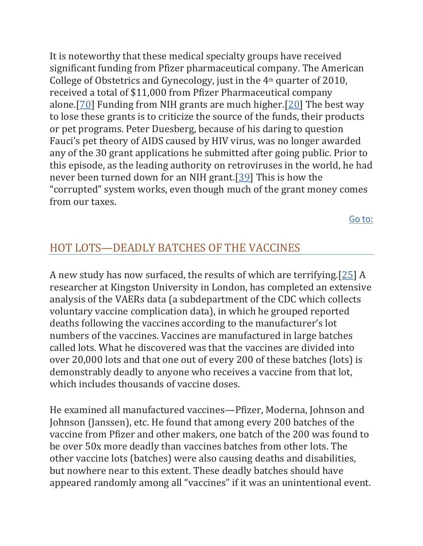It is noteworthy that these medical specialty groups have received significant funding from Pfizer pharmaceutical company. The American College of Obstetrics and Gynecology, just in the  $4<sup>th</sup>$  quarter of 2010, received a total of \$11,000 from Pfizer Pharmaceutical company alone.[\[70\]](https://www.ncbi.nlm.nih.gov/pmc/articles/PMC9062939/#ref70) Funding from NIH grants are much higher.[\[20\]](https://www.ncbi.nlm.nih.gov/pmc/articles/PMC9062939/#ref20) The best way to lose these grants is to criticize the source of the funds, their products or pet programs. Peter Duesberg, because of his daring to question Fauci's pet theory of AIDS caused by HIV virus, was no longer awarded any of the 30 grant applications he submitted after going public. Prior to this episode, as the leading authority on retroviruses in the world, he had never been turned down for an NIH grant.[\[39\]](https://www.ncbi.nlm.nih.gov/pmc/articles/PMC9062939/#ref39) This is how the "corrupted" system works, even though much of the grant money comes from our taxes.

[Go to:](https://www.ncbi.nlm.nih.gov/pmc/articles/PMC9062939/)

## HOT LOTS—DEADLY BATCHES OF THE VACCINES

A new study has now surfaced, the results of which are terrifying.[\[25\]](https://www.ncbi.nlm.nih.gov/pmc/articles/PMC9062939/#ref25) A researcher at Kingston University in London, has completed an extensive analysis of the VAERs data (a subdepartment of the CDC which collects voluntary vaccine complication data), in which he grouped reported deaths following the vaccines according to the manufacturer's lot numbers of the vaccines. Vaccines are manufactured in large batches called lots. What he discovered was that the vaccines are divided into over 20,000 lots and that one out of every 200 of these batches (lots) is demonstrably deadly to anyone who receives a vaccine from that lot, which includes thousands of vaccine doses.

He examined all manufactured vaccines—Pfizer, Moderna, Johnson and Johnson (Janssen), etc. He found that among every 200 batches of the vaccine from Pfizer and other makers, one batch of the 200 was found to be over 50x more deadly than vaccines batches from other lots. The other vaccine lots (batches) were also causing deaths and disabilities, but nowhere near to this extent. These deadly batches should have appeared randomly among all "vaccines" if it was an unintentional event.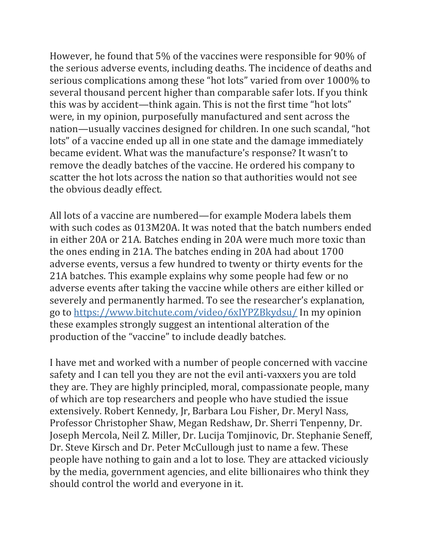However, he found that 5% of the vaccines were responsible for 90% of the serious adverse events, including deaths. The incidence of deaths and serious complications among these "hot lots" varied from over 1000% to several thousand percent higher than comparable safer lots. If you think this was by accident—think again. This is not the first time "hot lots" were, in my opinion, purposefully manufactured and sent across the nation—usually vaccines designed for children. In one such scandal, "hot lots" of a vaccine ended up all in one state and the damage immediately became evident. What was the manufacture's response? It wasn't to remove the deadly batches of the vaccine. He ordered his company to scatter the hot lots across the nation so that authorities would not see the obvious deadly effect.

All lots of a vaccine are numbered—for example Modera labels them with such codes as 013M20A. It was noted that the batch numbers ended in either 20A or 21A. Batches ending in 20A were much more toxic than the ones ending in 21A. The batches ending in 20A had about 1700 adverse events, versus a few hundred to twenty or thirty events for the 21A batches. This example explains why some people had few or no adverse events after taking the vaccine while others are either killed or severely and permanently harmed. To see the researcher's explanation, go to <https://www.bitchute.com/video/6xIYPZBkydsu/> In my opinion these examples strongly suggest an intentional alteration of the production of the "vaccine" to include deadly batches.

I have met and worked with a number of people concerned with vaccine safety and I can tell you they are not the evil anti-vaxxers you are told they are. They are highly principled, moral, compassionate people, many of which are top researchers and people who have studied the issue extensively. Robert Kennedy, Jr, Barbara Lou Fisher, Dr. Meryl Nass, Professor Christopher Shaw, Megan Redshaw, Dr. Sherri Tenpenny, Dr. Joseph Mercola, Neil Z. Miller, Dr. Lucija Tomjinovic, Dr. Stephanie Seneff, Dr. Steve Kirsch and Dr. Peter McCullough just to name a few. These people have nothing to gain and a lot to lose. They are attacked viciously by the media, government agencies, and elite billionaires who think they should control the world and everyone in it.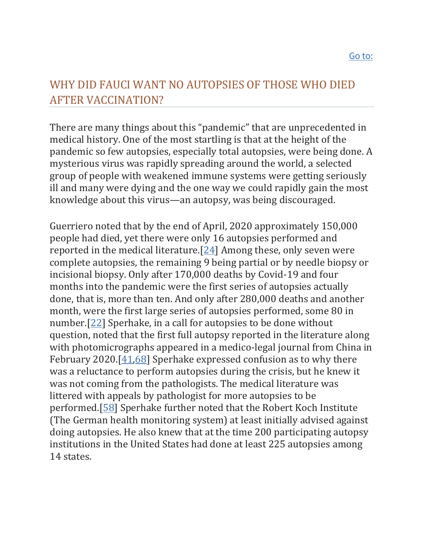## WHY DID FAUCI WANT NO AUTOPSIES OF THOSE WHO DIED AFTER VACCINATION?

There are many things about this "pandemic" that are unprecedented in medical history. One of the most startling is that at the height of the pandemic so few autopsies, especially total autopsies, were being done. A mysterious virus was rapidly spreading around the world, a selected group of people with weakened immune systems were getting seriously ill and many were dying and the one way we could rapidly gain the most knowledge about this virus—an autopsy, was being discouraged.

Guerriero noted that by the end of April, 2020 approximately 150,000 people had died, yet there were only 16 autopsies performed and reported in the medical literature.[\[24\]](https://www.ncbi.nlm.nih.gov/pmc/articles/PMC9062939/#ref24) Among these, only seven were complete autopsies, the remaining 9 being partial or by needle biopsy or incisional biopsy. Only after 170,000 deaths by Covid-19 and four months into the pandemic were the first series of autopsies actually done, that is, more than ten. And only after 280,000 deaths and another month, were the first large series of autopsies performed, some 80 in number.[\[22\]](https://www.ncbi.nlm.nih.gov/pmc/articles/PMC9062939/#ref22) Sperhake, in a call for autopsies to be done without question, noted that the first full autopsy reported in the literature along with photomicrographs appeared in a medico-legal journal from China in February 2020. $[41,68]$  $[41,68]$  Sperhake expressed confusion as to why there was a reluctance to perform autopsies during the crisis, but he knew it was not coming from the pathologists. The medical literature was littered with appeals by pathologist for more autopsies to be performed.[\[58\]](https://www.ncbi.nlm.nih.gov/pmc/articles/PMC9062939/#ref58) Sperhake further noted that the Robert Koch Institute (The German health monitoring system) at least initially advised against doing autopsies. He also knew that at the time 200 participating autopsy institutions in the United States had done at least 225 autopsies among 14 states.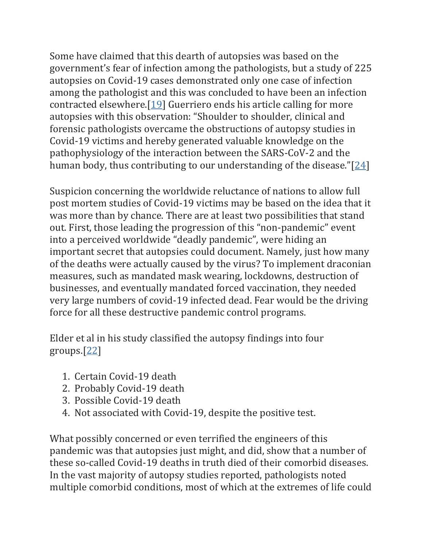Some have claimed that this dearth of autopsies was based on the government's fear of infection among the pathologists, but a study of 225 autopsies on Covid-19 cases demonstrated only one case of infection among the pathologist and this was concluded to have been an infection contracted elsewhere.[\[19\]](https://www.ncbi.nlm.nih.gov/pmc/articles/PMC9062939/#ref19) Guerriero ends his article calling for more autopsies with this observation: "Shoulder to shoulder, clinical and forensic pathologists overcame the obstructions of autopsy studies in Covid-19 victims and hereby generated valuable knowledge on the pathophysiology of the interaction between the SARS-CoV-2 and the human body, thus contributing to our understanding of the disease." $[24]$  $[24]$ 

Suspicion concerning the worldwide reluctance of nations to allow full post mortem studies of Covid-19 victims may be based on the idea that it was more than by chance. There are at least two possibilities that stand out. First, those leading the progression of this "non-pandemic" event into a perceived worldwide "deadly pandemic", were hiding an important secret that autopsies could document. Namely, just how many of the deaths were actually caused by the virus? To implement draconian measures, such as mandated mask wearing, lockdowns, destruction of businesses, and eventually mandated forced vaccination, they needed very large numbers of covid-19 infected dead. Fear would be the driving force for all these destructive pandemic control programs.

Elder et al in his study classified the autopsy findings into four groups.[\[22\]](https://www.ncbi.nlm.nih.gov/pmc/articles/PMC9062939/#ref22)

- 1. Certain Covid-19 death
- 2. Probably Covid-19 death
- 3. Possible Covid-19 death
- 4. Not associated with Covid-19, despite the positive test.

What possibly concerned or even terrified the engineers of this pandemic was that autopsies just might, and did, show that a number of these so-called Covid-19 deaths in truth died of their comorbid diseases. In the vast majority of autopsy studies reported, pathologists noted multiple comorbid conditions, most of which at the extremes of life could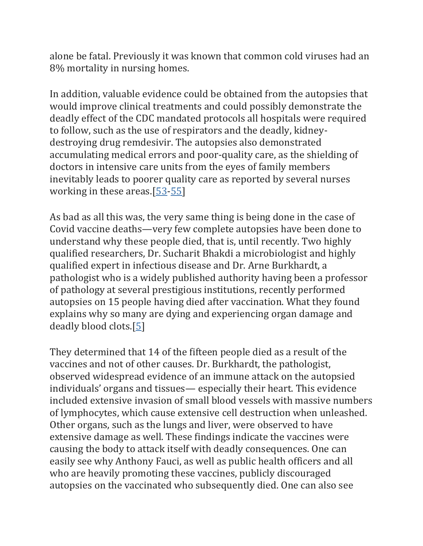alone be fatal. Previously it was known that common cold viruses had an 8% mortality in nursing homes.

In addition, valuable evidence could be obtained from the autopsies that would improve clinical treatments and could possibly demonstrate the deadly effect of the CDC mandated protocols all hospitals were required to follow, such as the use of respirators and the deadly, kidneydestroying drug remdesivir. The autopsies also demonstrated accumulating medical errors and poor-quality care, as the shielding of doctors in intensive care units from the eyes of family members inevitably leads to poorer quality care as reported by several nurses working in these areas.[\[53](https://www.ncbi.nlm.nih.gov/pmc/articles/PMC9062939/#ref53)[-55\]](https://www.ncbi.nlm.nih.gov/pmc/articles/PMC9062939/#ref55)

As bad as all this was, the very same thing is being done in the case of Covid vaccine deaths—very few complete autopsies have been done to understand why these people died, that is, until recently. Two highly qualified researchers, Dr. Sucharit Bhakdi a microbiologist and highly qualified expert in infectious disease and Dr. Arne Burkhardt, a pathologist who is a widely published authority having been a professor of pathology at several prestigious institutions, recently performed autopsies on 15 people having died after vaccination. What they found explains why so many are dying and experiencing organ damage and deadly blood clots.[\[5\]](https://www.ncbi.nlm.nih.gov/pmc/articles/PMC9062939/#ref5)

They determined that 14 of the fifteen people died as a result of the vaccines and not of other causes. Dr. Burkhardt, the pathologist, observed widespread evidence of an immune attack on the autopsied individuals' organs and tissues— especially their heart. This evidence included extensive invasion of small blood vessels with massive numbers of lymphocytes, which cause extensive cell destruction when unleashed. Other organs, such as the lungs and liver, were observed to have extensive damage as well. These findings indicate the vaccines were causing the body to attack itself with deadly consequences. One can easily see why Anthony Fauci, as well as public health officers and all who are heavily promoting these vaccines, publicly discouraged autopsies on the vaccinated who subsequently died. One can also see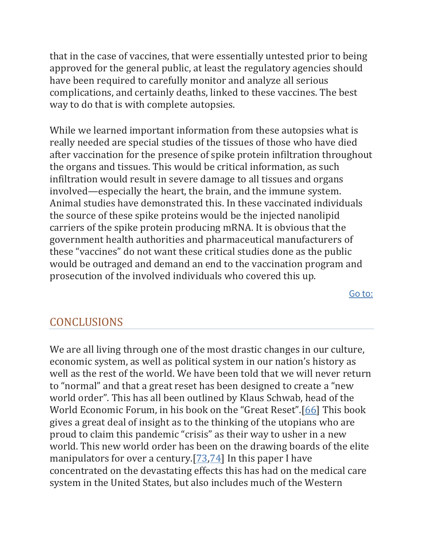that in the case of vaccines, that were essentially untested prior to being approved for the general public, at least the regulatory agencies should have been required to carefully monitor and analyze all serious complications, and certainly deaths, linked to these vaccines. The best way to do that is with complete autopsies.

While we learned important information from these autopsies what is really needed are special studies of the tissues of those who have died after vaccination for the presence of spike protein infiltration throughout the organs and tissues. This would be critical information, as such infiltration would result in severe damage to all tissues and organs involved—especially the heart, the brain, and the immune system. Animal studies have demonstrated this. In these vaccinated individuals the source of these spike proteins would be the injected nanolipid carriers of the spike protein producing mRNA. It is obvious that the government health authorities and pharmaceutical manufacturers of these "vaccines" do not want these critical studies done as the public would be outraged and demand an end to the vaccination program and prosecution of the involved individuals who covered this up.

[Go to:](https://www.ncbi.nlm.nih.gov/pmc/articles/PMC9062939/)

## **CONCLUSIONS**

We are all living through one of the most drastic changes in our culture, economic system, as well as political system in our nation's history as well as the rest of the world. We have been told that we will never return to "normal" and that a great reset has been designed to create a "new world order". This has all been outlined by Klaus Schwab, head of the World Economic Forum, in his book on the "Great Reset".[[66\]](https://www.ncbi.nlm.nih.gov/pmc/articles/PMC9062939/#ref66) This book gives a great deal of insight as to the thinking of the utopians who are proud to claim this pandemic "crisis" as their way to usher in a new world. This new world order has been on the drawing boards of the elite manipulators for over a century.[\[73,](https://www.ncbi.nlm.nih.gov/pmc/articles/PMC9062939/#ref73)[74\]](https://www.ncbi.nlm.nih.gov/pmc/articles/PMC9062939/#ref74) In this paper I have concentrated on the devastating effects this has had on the medical care system in the United States, but also includes much of the Western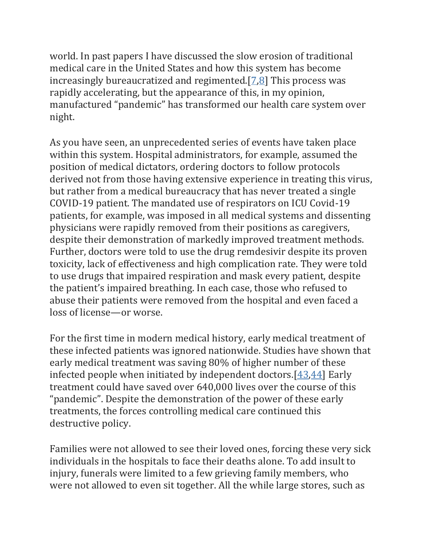world. In past papers I have discussed the slow erosion of traditional medical care in the United States and how this system has become increasingly bureaucratized and regimented. $[7,8]$  $[7,8]$  This process was rapidly accelerating, but the appearance of this, in my opinion, manufactured "pandemic" has transformed our health care system over night.

As you have seen, an unprecedented series of events have taken place within this system. Hospital administrators, for example, assumed the position of medical dictators, ordering doctors to follow protocols derived not from those having extensive experience in treating this virus, but rather from a medical bureaucracy that has never treated a single COVID-19 patient. The mandated use of respirators on ICU Covid-19 patients, for example, was imposed in all medical systems and dissenting physicians were rapidly removed from their positions as caregivers, despite their demonstration of markedly improved treatment methods. Further, doctors were told to use the drug remdesivir despite its proven toxicity, lack of effectiveness and high complication rate. They were told to use drugs that impaired respiration and mask every patient, despite the patient's impaired breathing. In each case, those who refused to abuse their patients were removed from the hospital and even faced a loss of license—or worse.

For the first time in modern medical history, early medical treatment of these infected patients was ignored nationwide. Studies have shown that early medical treatment was saving 80% of higher number of these infected people when initiated by independent doctors.[\[43](https://www.ncbi.nlm.nih.gov/pmc/articles/PMC9062939/#ref43)[,44\]](https://www.ncbi.nlm.nih.gov/pmc/articles/PMC9062939/#ref44) Early treatment could have saved over 640,000 lives over the course of this "pandemic". Despite the demonstration of the power of these early treatments, the forces controlling medical care continued this destructive policy.

Families were not allowed to see their loved ones, forcing these very sick individuals in the hospitals to face their deaths alone. To add insult to injury, funerals were limited to a few grieving family members, who were not allowed to even sit together. All the while large stores, such as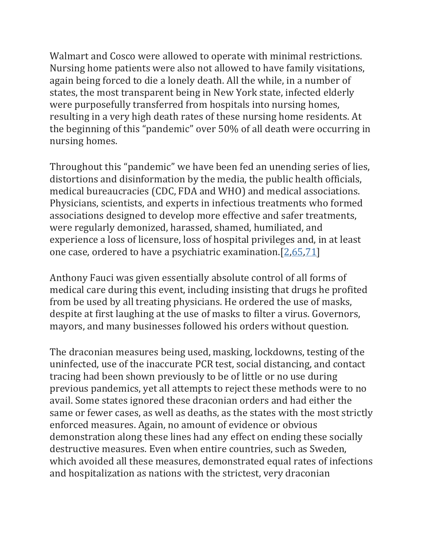Walmart and Cosco were allowed to operate with minimal restrictions. Nursing home patients were also not allowed to have family visitations, again being forced to die a lonely death. All the while, in a number of states, the most transparent being in New York state, infected elderly were purposefully transferred from hospitals into nursing homes, resulting in a very high death rates of these nursing home residents. At the beginning of this "pandemic" over 50% of all death were occurring in nursing homes.

Throughout this "pandemic" we have been fed an unending series of lies, distortions and disinformation by the media, the public health officials, medical bureaucracies (CDC, FDA and WHO) and medical associations. Physicians, scientists, and experts in infectious treatments who formed associations designed to develop more effective and safer treatments, were regularly demonized, harassed, shamed, humiliated, and experience a loss of licensure, loss of hospital privileges and, in at least one case, ordered to have a psychiatric examination.[\[2](https://www.ncbi.nlm.nih.gov/pmc/articles/PMC9062939/#ref2)[,65](https://www.ncbi.nlm.nih.gov/pmc/articles/PMC9062939/#ref65)[,71\]](https://www.ncbi.nlm.nih.gov/pmc/articles/PMC9062939/#ref71)

Anthony Fauci was given essentially absolute control of all forms of medical care during this event, including insisting that drugs he profited from be used by all treating physicians. He ordered the use of masks, despite at first laughing at the use of masks to filter a virus. Governors, mayors, and many businesses followed his orders without question.

The draconian measures being used, masking, lockdowns, testing of the uninfected, use of the inaccurate PCR test, social distancing, and contact tracing had been shown previously to be of little or no use during previous pandemics, yet all attempts to reject these methods were to no avail. Some states ignored these draconian orders and had either the same or fewer cases, as well as deaths, as the states with the most strictly enforced measures. Again, no amount of evidence or obvious demonstration along these lines had any effect on ending these socially destructive measures. Even when entire countries, such as Sweden, which avoided all these measures, demonstrated equal rates of infections and hospitalization as nations with the strictest, very draconian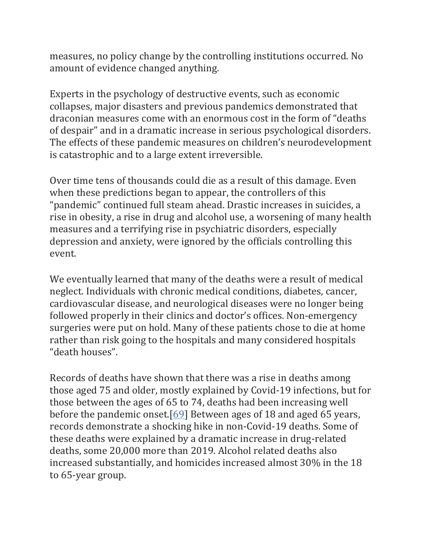measures, no policy change by the controlling institutions occurred. No amount of evidence changed anything.

Experts in the psychology of destructive events, such as economic collapses, major disasters and previous pandemics demonstrated that draconian measures come with an enormous cost in the form of "deaths of despair" and in a dramatic increase in serious psychological disorders. The effects of these pandemic measures on children's neurodevelopment is catastrophic and to a large extent irreversible.

Over time tens of thousands could die as a result of this damage. Even when these predictions began to appear, the controllers of this "pandemic" continued full steam ahead. Drastic increases in suicides, a rise in obesity, a rise in drug and alcohol use, a worsening of many health measures and a terrifying rise in psychiatric disorders, especially depression and anxiety, were ignored by the officials controlling this event.

We eventually learned that many of the deaths were a result of medical neglect. Individuals with chronic medical conditions, diabetes, cancer, cardiovascular disease, and neurological diseases were no longer being followed properly in their clinics and doctor's offices. Non-emergency surgeries were put on hold. Many of these patients chose to die at home rather than risk going to the hospitals and many considered hospitals "death houses".

Records of deaths have shown that there was a rise in deaths among those aged 75 and older, mostly explained by Covid-19 infections, but for those between the ages of 65 to 74, deaths had been increasing well before the pandemic onset.[\[69\]](https://www.ncbi.nlm.nih.gov/pmc/articles/PMC9062939/#ref69) Between ages of 18 and aged 65 years, records demonstrate a shocking hike in non-Covid-19 deaths. Some of these deaths were explained by a dramatic increase in drug-related deaths, some 20,000 more than 2019. Alcohol related deaths also increased substantially, and homicides increased almost 30% in the 18 to 65-year group.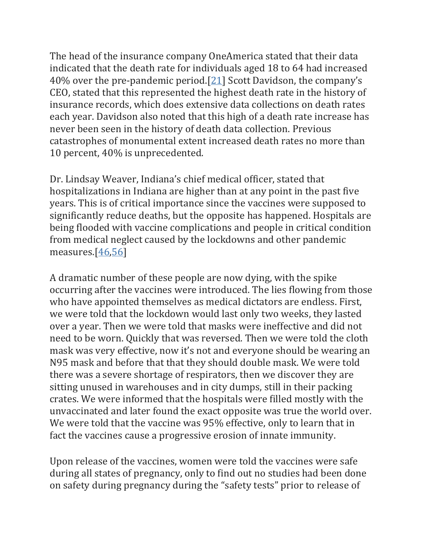The head of the insurance company OneAmerica stated that their data indicated that the death rate for individuals aged 18 to 64 had increased 40% over the pre-pandemic period.[\[21](https://www.ncbi.nlm.nih.gov/pmc/articles/PMC9062939/#ref21)] Scott Davidson, the company's CEO, stated that this represented the highest death rate in the history of insurance records, which does extensive data collections on death rates each year. Davidson also noted that this high of a death rate increase has never been seen in the history of death data collection. Previous catastrophes of monumental extent increased death rates no more than 10 percent, 40% is unprecedented.

Dr. Lindsay Weaver, Indiana's chief medical officer, stated that hospitalizations in Indiana are higher than at any point in the past five years. This is of critical importance since the vaccines were supposed to significantly reduce deaths, but the opposite has happened. Hospitals are being flooded with vaccine complications and people in critical condition from medical neglect caused by the lockdowns and other pandemic measures.[\[46,](https://www.ncbi.nlm.nih.gov/pmc/articles/PMC9062939/#ref46)[56\]](https://www.ncbi.nlm.nih.gov/pmc/articles/PMC9062939/#ref56)

A dramatic number of these people are now dying, with the spike occurring after the vaccines were introduced. The lies flowing from those who have appointed themselves as medical dictators are endless. First, we were told that the lockdown would last only two weeks, they lasted over a year. Then we were told that masks were ineffective and did not need to be worn. Quickly that was reversed. Then we were told the cloth mask was very effective, now it's not and everyone should be wearing an N95 mask and before that that they should double mask. We were told there was a severe shortage of respirators, then we discover they are sitting unused in warehouses and in city dumps, still in their packing crates. We were informed that the hospitals were filled mostly with the unvaccinated and later found the exact opposite was true the world over. We were told that the vaccine was 95% effective, only to learn that in fact the vaccines cause a progressive erosion of innate immunity.

Upon release of the vaccines, women were told the vaccines were safe during all states of pregnancy, only to find out no studies had been done on safety during pregnancy during the "safety tests" prior to release of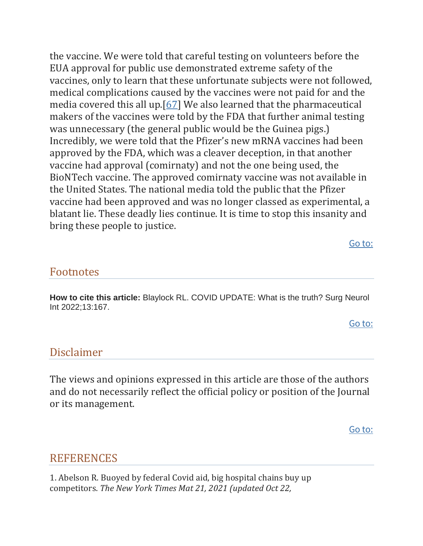the vaccine. We were told that careful testing on volunteers before the EUA approval for public use demonstrated extreme safety of the vaccines, only to learn that these unfortunate subjects were not followed, medical complications caused by the vaccines were not paid for and the media covered this all up.[\[67\]](https://www.ncbi.nlm.nih.gov/pmc/articles/PMC9062939/#ref67) We also learned that the pharmaceutical makers of the vaccines were told by the FDA that further animal testing was unnecessary (the general public would be the Guinea pigs.) Incredibly, we were told that the Pfizer's new mRNA vaccines had been approved by the FDA, which was a cleaver deception, in that another vaccine had approval (comirnaty) and not the one being used, the BioNTech vaccine. The approved comirnaty vaccine was not available in the United States. The national media told the public that the Pfizer vaccine had been approved and was no longer classed as experimental, a blatant lie. These deadly lies continue. It is time to stop this insanity and bring these people to justice.

[Go to:](https://www.ncbi.nlm.nih.gov/pmc/articles/PMC9062939/)

#### Footnotes

**How to cite this article:** Blaylock RL. COVID UPDATE: What is the truth? Surg Neurol Int 2022;13:167.

[Go to:](https://www.ncbi.nlm.nih.gov/pmc/articles/PMC9062939/)

#### Disclaimer

The views and opinions expressed in this article are those of the authors and do not necessarily reflect the official policy or position of the Journal or its management.

[Go to:](https://www.ncbi.nlm.nih.gov/pmc/articles/PMC9062939/)

### **REFERENCES**

1. Abelson R. Buoyed by federal Covid aid, big hospital chains buy up competitors. *The New York Times Mat 21, 2021 (updated Oct 22,*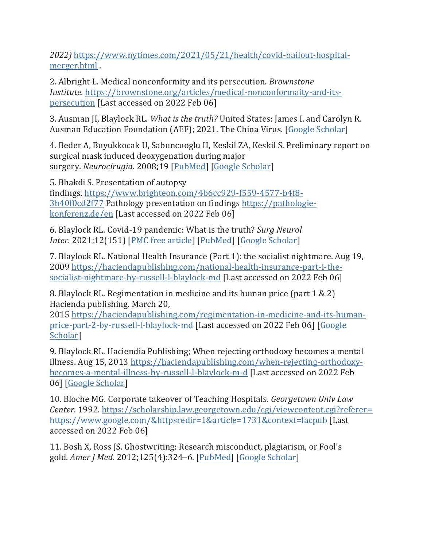*2022)* [https://www.nytimes.com/2021/05/21/health/covid-bailout-hospital](https://www.nytimes.com/2021/05/21/health/covid-bailout-hospital-merger.html)[merger.html](https://www.nytimes.com/2021/05/21/health/covid-bailout-hospital-merger.html) .

2. Albright L. Medical nonconformity and its persecution. *Brownstone Institute.* [https://brownstone.org/articles/medical-nonconformaity-and-its](https://brownstone.org/articles/medical-nonconformaity-and-its-persecution)[persecution](https://brownstone.org/articles/medical-nonconformaity-and-its-persecution) [Last accessed on 2022 Feb 06]

3. Ausman JI, Blaylock RL. *What is the truth?* United States: James I. and Carolyn R. Ausman Education Foundation (AEF); 2021. The China Virus. [\[Google Scholar\]](https://scholar.google.com/scholar_lookup?title=What+is+the+truth?&author=JI+Ausman&author=RL+Blaylock&publication_year=2021&)

4. Beder A, Buyukkocak U, Sabuncuoglu H, Keskil ZA, Keskil S. Preliminary report on surgical mask induced deoxygenation during major surgery. *Neurocirugia.* 2008;19 [\[PubMed\]](https://pubmed.ncbi.nlm.nih.gov/18500410) [\[Google Scholar\]](https://scholar.google.com/scholar_lookup?journal=Neurocirugia&title=Preliminary+report+on+surgical+mask+induced+deoxygenation+during+major+surgery&author=A+Beder&author=U+Buyukkocak&author=H+Sabuncuoglu&author=ZA+Keskil&author=S+Keskil&volume=19&publication_year=2008&)

5. Bhakdi S. Presentation of autopsy findings. [https://www.brighteon.com/4b6cc929-f559-4577-b4f8-](https://www.brighteon.com/4b6cc929-f559-4577-b4f8-3b40f0cd2f77) [3b40f0cd2f77](https://www.brighteon.com/4b6cc929-f559-4577-b4f8-3b40f0cd2f77) Pathology presentation on findings [https://pathologie](https://pathologie-konferenz.de/en)[konferenz.de/en](https://pathologie-konferenz.de/en) [Last accessed on 2022 Feb 06]

6. Blaylock RL. Covid-19 pandemic: What is the truth? *Surg Neurol Inter.* 2021;12(151) [\[PMC free article\]](https://www.ncbi.nlm.nih.gov/pmc/articles/PMC8720447/) [\[PubMed\]](https://pubmed.ncbi.nlm.nih.gov/34992908) [\[Google Scholar\]](https://scholar.google.com/scholar_lookup?journal=Surg+Neurol+Inter&title=Covid-19+pandemic:+What+is+the+truth?&author=RL+Blaylock&volume=12&issue=151&publication_year=2021&)

7. Blaylock RL. National Health Insurance (Part 1): the socialist nightmare. Aug 19, 2009 [https://haciendapublishing.com/national-health-insurance-part-i-the](https://haciendapublishing.com/national-health-insurance-part-i-the-socialist-nightmare-by-russell-l-blaylock-md)[socialist-nightmare-by-russell-l-blaylock-md](https://haciendapublishing.com/national-health-insurance-part-i-the-socialist-nightmare-by-russell-l-blaylock-md) [Last accessed on 2022 Feb 06]

8. Blaylock RL. Regimentation in medicine and its human price (part 1 & 2) Hacienda publishing. March 20,

2015 [https://haciendapublishing.com/regimentation-in-medicine-and-its-human](https://haciendapublishing.com/regimentation-in-medicine-and-its-human-price-part-2-by-russell-l-blaylock-md)[price-part-2-by-russell-l-blaylock-md](https://haciendapublishing.com/regimentation-in-medicine-and-its-human-price-part-2-by-russell-l-blaylock-md) [Last accessed on 2022 Feb 06] [\[Google](https://scholar.google.com/scholar?q=Blaylock+RL+Regimentation+in+medicine+and+its+human+price+(part+1+&+2)+Hacienda+publishing+March+20,+2015++https://haciendapublishing.com/regimentation-in-medicine-and-its-human-price-part-2-by-russell-l-blaylock-md++%5bLast+accessed+on+2022+Feb+06%5d+)  [Scholar\]](https://scholar.google.com/scholar?q=Blaylock+RL+Regimentation+in+medicine+and+its+human+price+(part+1+&+2)+Hacienda+publishing+March+20,+2015++https://haciendapublishing.com/regimentation-in-medicine-and-its-human-price-part-2-by-russell-l-blaylock-md++%5bLast+accessed+on+2022+Feb+06%5d+)

9. Blaylock RL. Haciendia Publishing; When rejecting orthodoxy becomes a mental illness. Aug 15, 2013 [https://haciendapublishing.com/when-rejecting-orthodoxy](https://haciendapublishing.com/when-rejecting-orthodoxy-becomes-a-mental-illness-by-russell-l-blaylock-m-d)[becomes-a-mental-illness-by-russell-l-blaylock-m-d](https://haciendapublishing.com/when-rejecting-orthodoxy-becomes-a-mental-illness-by-russell-l-blaylock-m-d) [Last accessed on 2022 Feb 06] [\[Google Scholar\]](https://scholar.google.com/scholar?q=Blaylock+RL+When+rejecting+orthodoxy+becomes+a+mental+illness+Haciendia+Publishing+Aug+15,+2013++https://haciendapublishing.com/when-rejecting-orthodoxy-becomes-a-mental-illness-by-russell-l-blaylock-m-d++%5bLast+accessed+on+2022+Feb+06%5d+)

10. Bloche MG. Corporate takeover of Teaching Hospitals. *Georgetown Univ Law Center.* 1992. [https://scholarship.law.georgetown.edu/cgi/viewcontent.cgi?referer=](https://scholarship.law.georgetown.edu/cgi/viewcontent.cgi?referer=https://www.google.com/&httpsredir=1&article=1731&context=facpub) [https://www.google.com/&httpsredir=1&article=1731&context=facpub](https://scholarship.law.georgetown.edu/cgi/viewcontent.cgi?referer=https://www.google.com/&httpsredir=1&article=1731&context=facpub) [Last accessed on 2022 Feb 06]

11. Bosh X, Ross JS. Ghostwriting: Research misconduct, plagiarism, or Fool's gold. *Amer J Med.* 2012;125(4):324–6. [\[PubMed\]](https://pubmed.ncbi.nlm.nih.gov/22305580) [\[Google Scholar\]](https://scholar.google.com/scholar_lookup?journal=Amer+J+Med&title=Ghostwriting:+Research+misconduct,+plagiarism,+or+Fool%E2%80%99s+gold&author=X+Bosh&author=JS+Ross&volume=125&issue=4&publication_year=2012&pages=324-6&pmid=22305580&)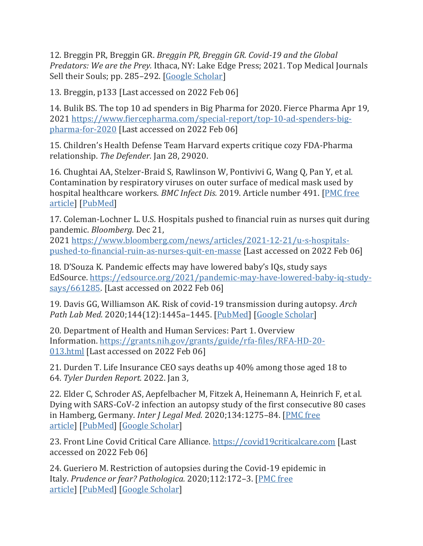12. Breggin PR, Breggin GR. *Breggin PR, Breggin GR. Covid-19 and the Global Predators: We are the Prey.* Ithaca, NY: Lake Edge Press; 2021. Top Medical Journals Sell their Souls; pp. 285–292. [\[Google Scholar\]](https://scholar.google.com/scholar_lookup?title=Breggin+PR,+Breggin+GR.+Covid-19+and+the+Global+Predators:+We+are+the+Prey&author=PR+Breggin&author=GR+Breggin&publication_year=2021&)

13. Breggin, p133 [Last accessed on 2022 Feb 06]

14. Bulik BS. The top 10 ad spenders in Big Pharma for 2020. Fierce Pharma Apr 19, 2021 [https://www.fiercepharma.com/special-report/top-10-ad-spenders-big](https://www.fiercepharma.com/special-report/top-10-ad-spenders-big-pharma-for-2020)[pharma-for-2020](https://www.fiercepharma.com/special-report/top-10-ad-spenders-big-pharma-for-2020) [Last accessed on 2022 Feb 06]

15. Children's Health Defense Team Harvard experts critique cozy FDA-Pharma relationship. *The Defender.* Jan 28, 29020.

16. Chughtai AA, Stelzer-Braid S, Rawlinson W, Pontivivi G, Wang Q, Pan Y, et al. Contamination by respiratory viruses on outer surface of medical mask used by hospital healthcare workers. *BMC Infect Dis.* 2019. Article number 491. [\[PMC free](https://www.ncbi.nlm.nih.gov/pmc/articles/PMC6547584/)  [article\]](https://www.ncbi.nlm.nih.gov/pmc/articles/PMC6547584/) [\[PubMed\]](https://pubmed.ncbi.nlm.nih.gov/31159777)

17. Coleman-Lochner L. U.S. Hospitals pushed to financial ruin as nurses quit during pandemic. *Bloomberg.* Dec 21,

2021 [https://www.bloomberg.com/news/articles/2021-12-21/u-s-hospitals](https://www.bloomberg.com/news/articles/2021-12-21/u-s-hospitals-pushed-to-financial-ruin-as-nurses-quit-en-masse)[pushed-to-financial-ruin-as-nurses-quit-en-masse](https://www.bloomberg.com/news/articles/2021-12-21/u-s-hospitals-pushed-to-financial-ruin-as-nurses-quit-en-masse) [Last accessed on 2022 Feb 06]

18. D'Souza K. Pandemic effects may have lowered baby's IQs, study says EdSource. [https://edsource.org/2021/pandemic-may-have-lowered-baby-iq-study](https://edsource.org/2021/pandemic-may-have-lowered-baby-iq-study-says/661285)[says/661285.](https://edsource.org/2021/pandemic-may-have-lowered-baby-iq-study-says/661285) [Last accessed on 2022 Feb 06]

19. Davis GG, Williamson AK. Risk of covid-19 transmission during autopsy. *Arch Path Lab Med.* 2020;144(12):1445a–1445. [\[PubMed\]](https://pubmed.ncbi.nlm.nih.gov/32520589) [\[Google Scholar\]](https://scholar.google.com/scholar_lookup?journal=Arch+Path+Lab+Med&title=Risk+of+covid-19+transmission+during+autopsy&author=GG+Davis&author=AK+Williamson&volume=144&issue=12&publication_year=2020&pages=1445a-1445&)

20. Department of Health and Human Services: Part 1. Overview Information. [https://grants.nih.gov/grants/guide/rfa-files/RFA-HD-20-](https://grants.nih.gov/grants/guide/rfa-files/RFA-HD-20-013.html) [013.html](https://grants.nih.gov/grants/guide/rfa-files/RFA-HD-20-013.html) [Last accessed on 2022 Feb 06]

21. Durden T. Life Insurance CEO says deaths up 40% among those aged 18 to 64. *Tyler Durden Report.* 2022. Jan 3,

22. Elder C, Schroder AS, Aepfelbacher M, Fitzek A, Heinemann A, Heinrich F, et al. Dying with SARS-CoV-2 infection an autopsy study of the first consecutive 80 cases in Hamberg, Germany. *Inter J Legal Med.* 2020;134:1275–84. [\[PMC free](https://www.ncbi.nlm.nih.gov/pmc/articles/PMC7271136/)  [article\]](https://www.ncbi.nlm.nih.gov/pmc/articles/PMC7271136/) [\[PubMed\]](https://pubmed.ncbi.nlm.nih.gov/32500199) [\[Google Scholar\]](https://scholar.google.com/scholar_lookup?journal=Inter+J+Legal+Med&title=Dying+with+SARS-CoV-2+infection+an+autopsy+study+of+the+first+consecutive+80+cases+in+Hamberg,+Germany&author=C+Elder&author=AS+Schroder&author=M+Aepfelbacher&author=A+Fitzek&author=A+Heinemann&volume=134&publication_year=2020&pages=1275-84&)

23. Front Line Covid Critical Care Alliance. [https://covid19criticalcare.com](https://covid19criticalcare.com/) [Last accessed on 2022 Feb 06]

24. Gueriero M. Restriction of autopsies during the Covid-19 epidemic in Italy. *Prudence or fear? Pathologica.* 2020;112:172–3. [\[PMC free](https://www.ncbi.nlm.nih.gov/pmc/articles/PMC8183352/)  [article\]](https://www.ncbi.nlm.nih.gov/pmc/articles/PMC8183352/) [\[PubMed\]](https://pubmed.ncbi.nlm.nih.gov/33393520) [\[Google Scholar\]](https://scholar.google.com/scholar_lookup?journal=Prudence+or+fear?+Pathologica&title=Restriction+of+autopsies+during+the+Covid-19+epidemic+in+Italy&author=M+Gueriero&volume=112&publication_year=2020&pages=172-3&pmid=33393520&)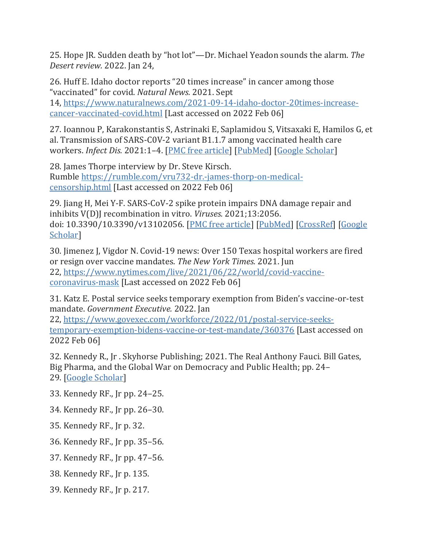25. Hope JR. Sudden death by "hot lot"—Dr. Michael Yeadon sounds the alarm. *The Desert review.* 2022. Jan 24,

26. Huff E. Idaho doctor reports "20 times increase" in cancer among those "vaccinated" for covid. *Natural News.* 2021. Sept 14, [https://www.naturalnews.com/2021-09-14-idaho-doctor-20times-increase](https://www.naturalnews.com/2021-09-14-idaho-doctor-20times-increase-cancer-vaccinated-covid.html)[cancer-vaccinated-covid.html](https://www.naturalnews.com/2021-09-14-idaho-doctor-20times-increase-cancer-vaccinated-covid.html) [Last accessed on 2022 Feb 06]

27. Ioannou P, Karakonstantis S, Astrinaki E, Saplamidou S, Vitsaxaki E, Hamilos G, et al. Transmission of SARS-C0V-2 variant B1.1.7 among vaccinated health care workers. *Infect Dis.* 2021:1–4. [\[PMC free article\]](https://www.ncbi.nlm.nih.gov/pmc/articles/PMC8240538/) [\[PubMed\]](https://pubmed.ncbi.nlm.nih.gov/34176397) [\[Google Scholar\]](https://scholar.google.com/scholar_lookup?journal=Infect+Dis&title=Transmission+of+SARS-C0V-2+variant+B1.1.7+among+vaccinated+health+care+workers&author=P+Ioannou&author=S+Karakonstantis&author=E+Astrinaki&author=S+Saplamidou&author=E+Vitsaxaki&publication_year=2021&pages=1-4&)

28. James Thorpe interview by Dr. Steve Kirsch. Rumble [https://rumble.com/vru732-dr.-james-thorp-on-medical](https://rumble.com/vru732-dr.-james-thorp-on-medical-censorship.html)[censorship.html](https://rumble.com/vru732-dr.-james-thorp-on-medical-censorship.html) [Last accessed on 2022 Feb 06]

29. Jiang H, Mei Y-F. SARS-CoV-2 spike protein impairs DNA damage repair and inhibits V(D)J recombination in vitro. *Viruses.* 2021;13:2056. doi: 10.3390/10.3390/v13102056. [\[PMC free article\]](https://www.ncbi.nlm.nih.gov/pmc/articles/PMC9145574/) [\[PubMed\]](https://pubmed.ncbi.nlm.nih.gov/35632859) [\[CrossRef\]](https://doi.org/10.3390%2F10.3390%2Fv13102056) [\[Google](https://scholar.google.com/scholar_lookup?journal=Viruses&title=SARS-CoV-2+spike+protein+impairs+DNA+damage+repair+and+inhibits+V(D)J+recombination+in+vitro&author=H+Jiang&author=Y-F+Mei&volume=13&publication_year=2021&pages=2056&pmid=34696485&doi=10.3390/10.3390/v13102056&)  [Scholar\]](https://scholar.google.com/scholar_lookup?journal=Viruses&title=SARS-CoV-2+spike+protein+impairs+DNA+damage+repair+and+inhibits+V(D)J+recombination+in+vitro&author=H+Jiang&author=Y-F+Mei&volume=13&publication_year=2021&pages=2056&pmid=34696485&doi=10.3390/10.3390/v13102056&)

30. Jimenez J, Vigdor N. Covid-19 news: Over 150 Texas hospital workers are fired or resign over vaccine mandates. *The New York Times.* 2021. Jun 22, [https://www.nytimes.com/live/2021/06/22/world/covid-vaccine](https://www.nytimes.com/live/2021/06/22/world/covid-vaccine-coronavirus-mask)[coronavirus-mask](https://www.nytimes.com/live/2021/06/22/world/covid-vaccine-coronavirus-mask) [Last accessed on 2022 Feb 06]

31. Katz E. Postal service seeks temporary exemption from Biden's vaccine-or-test mandate. *Government Executive.* 2022. Jan

22, [https://www.govexec.com/workforce/2022/01/postal-service-seeks](https://www.govexec.com/workforce/2022/01/postal-service-seeks-temporary-exemption-bidens-vaccine-or-test-mandate/360376)[temporary-exemption-bidens-vaccine-or-test-mandate/360376](https://www.govexec.com/workforce/2022/01/postal-service-seeks-temporary-exemption-bidens-vaccine-or-test-mandate/360376) [Last accessed on 2022 Feb 06]

32. Kennedy R., Jr . Skyhorse Publishing; 2021. The Real Anthony Fauci. Bill Gates, Big Pharma, and the Global War on Democracy and Public Health; pp. 24– 29. [\[Google Scholar\]](https://scholar.google.com/scholar?q=Kennedy+R+Jr+The+Real+Anthony+Fauci.+Bill+Gates,+Big+Pharma,+and+the+Global+War+on+Democracy+and+Public+Health+2021+Skyhorse+Publishing+24+29+)

- 33. Kennedy RF., Jr pp. 24–25.
- 34. Kennedy RF., Jr pp. 26–30.
- 35. Kennedy RF., Jr p. 32.
- 36. Kennedy RF., Jr pp. 35–56.
- 37. Kennedy RF., Jr pp. 47–56.
- 38. Kennedy RF., Jr p. 135.
- 39. Kennedy RF., Jr p. 217.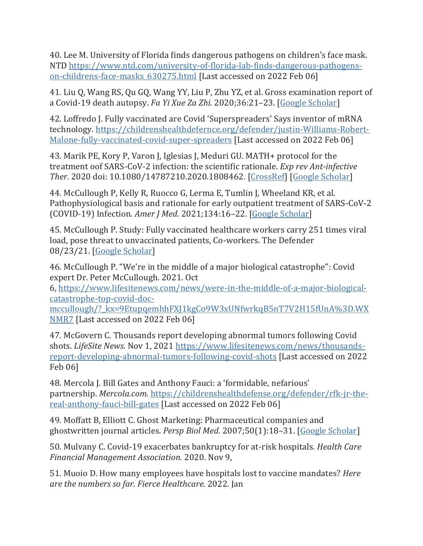40. Lee M. University of Florida finds dangerous pathogens on children's face mask. NTD [https://www.ntd.com/university-of-florida-lab-finds-dangerous-pathogens](https://www.ntd.com/university-of-florida-lab-finds-dangerous-pathogens-on-childrens-face-masks_630275.html)[on-childrens-face-masks\\_630275.html](https://www.ntd.com/university-of-florida-lab-finds-dangerous-pathogens-on-childrens-face-masks_630275.html) [Last accessed on 2022 Feb 06]

41. Liu Q, Wang RS, Qu GQ, Wang YY, Liu P, Zhu YZ, et al. Gross examination report of a Covid-19 death autopsy. *Fa Yi Xue Za Zhi.* 2020;36:21–23. [\[Google Scholar\]](https://scholar.google.com/scholar_lookup?journal=Fa+Yi+Xue+Za+Zhi&title=Gross+examination+report+of+a+Covid-19+death+autopsy&author=Q+Liu&author=RS+Wang&author=GQ+Qu&author=YY+Wang&author=P+Liu&volume=36&publication_year=2020&pages=21-23&pmid=32198987&)

42. Loffredo J. Fully vaccinated are Covid 'Superspreaders' Says inventor of mRNA technology. [https://childrenshealthdefernce.org/defender/justin-Williams-Robert-](https://childrenshealthdefernce.org/defender/justin-Williams-Robert-Malone-fully-vaccinated-covid-super-spreaders)[Malone-fully-vaccinated-covid-super-spreaders](https://childrenshealthdefernce.org/defender/justin-Williams-Robert-Malone-fully-vaccinated-covid-super-spreaders) [Last accessed on 2022 Feb 06]

43. Marik PE, Kory P, Varon J, Iglesias J, Meduri GU. MATH+ protocol for the treatment oof SARS-CoV-2 infection: the scientific rationale. *Exp rev Ant-infective Ther.* 2020 doi: 10.1080/14787210.2020.1808462. [\[CrossRef\]](https://doi.org/10.1080%2F14787210.2020.1808462) [\[Google Scholar\]](https://scholar.google.com/scholar_lookup?journal=Exp+rev+Ant-infective+Ther&title=MATH++protocol+for+the+treatment+oof+SARS-CoV-2+infection:+the+scientific+rationale&author=PE+Marik&author=P+Kory&author=J+Varon&author=J+Iglesias&author=GU+Meduri&publication_year=2020&doi=10.1080/14787210.2020.1808462&)

44. McCullough P, Kelly R, Ruocco G, Lerma E, Tumlin J, Wheeland KR, et al. Pathophysiological basis and rationale for early outpatient treatment of SARS-CoV-2 (COVID-19) Infection. *Amer J Med.* 2021;134:16–22. [\[Google Scholar\]](https://scholar.google.com/scholar_lookup?journal=Amer+J+Med&title=Pathophysiological+basis+and+rationale+for+early+outpatient+treatment+of+SARS-CoV-2+(COVID-19)+Infection&author=P+McCullough&author=R+Kelly&author=G+Ruocco&author=E+Lerma&author=J+Tumlin&volume=134&publication_year=2021&pages=16-22&pmid=32771461&)

45. McCullough P. Study: Fully vaccinated healthcare workers carry 251 times viral load, pose threat to unvaccinated patients, Co-workers. The Defender 08/23/21. [\[Google Scholar\]](https://scholar.google.com/scholar?q=McCullough+P+Study:+Fully+vaccinated+healthcare+workers+carry+251+times+viral+load,+pose+threat+to+unvaccinated+patients,+Co-workers+The+Defender+08/23/21+)

46. McCullough P. "We're in the middle of a major biological catastrophe": Covid expert Dr. Peter McCullough. 2021. Oct

6, [https://www.lifesitenews.com/news/were-in-the-middle-of-a-major-biological](https://www.lifesitenews.com/news/were-in-the-middle-of-a-major-biological-catastrophe-top-covid-doc-mccullough/?_kx=9EtupqemhhFXJ1kgCo9W3xUNfwrkqB5nT7V2H15fUnA%3D.WXNMR7)[catastrophe-top-covid-doc-](https://www.lifesitenews.com/news/were-in-the-middle-of-a-major-biological-catastrophe-top-covid-doc-mccullough/?_kx=9EtupqemhhFXJ1kgCo9W3xUNfwrkqB5nT7V2H15fUnA%3D.WXNMR7)

[mccullough/?\\_kx=9EtupqemhhFXJ1kgCo9W3xUNfwrkqB5nT7V2H15fUnA%3D.WX](https://www.lifesitenews.com/news/were-in-the-middle-of-a-major-biological-catastrophe-top-covid-doc-mccullough/?_kx=9EtupqemhhFXJ1kgCo9W3xUNfwrkqB5nT7V2H15fUnA%3D.WXNMR7) [NMR7](https://www.lifesitenews.com/news/were-in-the-middle-of-a-major-biological-catastrophe-top-covid-doc-mccullough/?_kx=9EtupqemhhFXJ1kgCo9W3xUNfwrkqB5nT7V2H15fUnA%3D.WXNMR7) [Last accessed on 2022 Feb 06]

47. McGovern C. Thousands report developing abnormal tumors following Covid shots. *LifeSite News.* Nov 1, 2021 [https://www.lifesitenews.com/news/thousands](https://www.lifesitenews.com/news/thousands-report-developing-abnormal-tumors-following-covid-shots)[report-developing-abnormal-tumors-following-covid-shots](https://www.lifesitenews.com/news/thousands-report-developing-abnormal-tumors-following-covid-shots) [Last accessed on 2022 Feb 06]

48. Mercola J. Bill Gates and Anthony Fauci: a 'formidable, nefarious' partnership. *Mercola.com.* [https://childrenshealthdefense.org/defender/rfk-jr-the](https://childrenshealthdefense.org/defender/rfk-jr-the-real-anthony-fauci-bill-gates)[real-anthony-fauci-bill-gates](https://childrenshealthdefense.org/defender/rfk-jr-the-real-anthony-fauci-bill-gates) [Last accessed on 2022 Feb 06]

49. Moffatt B, Elliott C. Ghost Marketing: Pharmaceutical companies and ghostwritten journal articles. *Persp Biol Med.* 2007;50(1):18–31. [\[Google Scholar\]](https://scholar.google.com/scholar_lookup?journal=Persp+Biol+Med&title=Ghost+Marketing:+Pharmaceutical+companies+and+ghostwritten+journal+articles&author=B+Moffatt&author=C+Elliott&volume=50&issue=1&publication_year=2007&pages=18-31&)

50. Mulvany C. Covid-19 exacerbates bankruptcy for at-risk hospitals. *Health Care Financial Management Association.* 2020. Nov 9,

51. Muoio D. How many employees have hospitals lost to vaccine mandates? *Here are the numbers so far. Fierce Healthcare.* 2022. Jan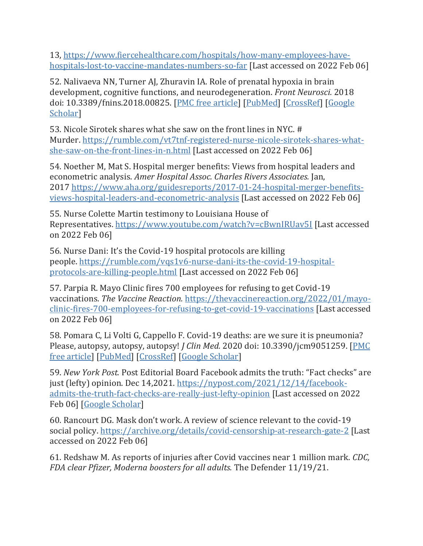13, [https://www.fiercehealthcare.com/hospitals/how-many-employees-have](https://www.fiercehealthcare.com/hospitals/how-many-employees-have-hospitals-lost-to-vaccine-mandates-numbers-so-far)[hospitals-lost-to-vaccine-mandates-numbers-so-far](https://www.fiercehealthcare.com/hospitals/how-many-employees-have-hospitals-lost-to-vaccine-mandates-numbers-so-far) [Last accessed on 2022 Feb 06]

52. Nalivaeva NN, Turner AJ, Zhuravin IA. Role of prenatal hypoxia in brain development, cognitive functions, and neurodegeneration. *Front Neurosci.* 2018 doi: 10.3389/fnins.2018.00825. [\[PMC free article\]](https://www.ncbi.nlm.nih.gov/pmc/articles/PMC6254649/) [\[PubMed\]](https://pubmed.ncbi.nlm.nih.gov/30510498) [\[CrossRef\]](https://doi.org/10.3389%2Ffnins.2018.00825) [\[Google](https://scholar.google.com/scholar_lookup?journal=Front+Neurosci&title=Role+of+prenatal+hypoxia+in+brain+development,+cognitive+functions,+and+neurodegeneration&author=NN+Nalivaeva&author=AJ+Turner&author=IA+Zhuravin&publication_year=2018&doi=10.3389/fnins.2018.00825&)  Scholar<sup>1</sup>

53. Nicole Sirotek shares what she saw on the front lines in NYC. # Murder. [https://rumble.com/vt7tnf-registered-nurse-nicole-sirotek-shares-what](https://rumble.com/vt7tnf-registered-nurse-nicole-sirotek-shares-what-she-saw-on-the-front-lines-in-n.html)[she-saw-on-the-front-lines-in-n.html](https://rumble.com/vt7tnf-registered-nurse-nicole-sirotek-shares-what-she-saw-on-the-front-lines-in-n.html) [Last accessed on 2022 Feb 06]

54. Noether M, Mat S. Hospital merger benefits: Views from hospital leaders and econometric analysis. *Amer Hospital Assoc. Charles Rivers Associates.* Jan, 2017 [https://www.aha.org/guidesreports/2017-01-24-hospital-merger-benefits](https://www.aha.org/guidesreports/2017-01-24-hospital-merger-benefits-views-hospital-leaders-and-econometric-analysis)[views-hospital-leaders-and-econometric-analysis](https://www.aha.org/guidesreports/2017-01-24-hospital-merger-benefits-views-hospital-leaders-and-econometric-analysis) [Last accessed on 2022 Feb 06]

55. Nurse Colette Martin testimony to Louisiana House of Representatives. <https://www.youtube.com/watch?v=cBwnIRUav5I> [Last accessed on 2022 Feb 06]

56. Nurse Dani: It's the Covid-19 hospital protocols are killing people. [https://rumble.com/vqs1v6-nurse-dani-its-the-covid-19-hospital](https://rumble.com/vqs1v6-nurse-dani-its-the-covid-19-hospital-protocols-are-killing-people.html)[protocols-are-killing-people.html](https://rumble.com/vqs1v6-nurse-dani-its-the-covid-19-hospital-protocols-are-killing-people.html) [Last accessed on 2022 Feb 06]

57. Parpia R. Mayo Clinic fires 700 employees for refusing to get Covid-19 vaccinations. *The Vaccine Reaction.* [https://thevaccinereaction.org/2022/01/mayo](https://thevaccinereaction.org/2022/01/mayo-clinic-fires-700-employees-for-refusing-to-get-covid-19-vaccinations)[clinic-fires-700-employees-for-refusing-to-get-covid-19-vaccinations](https://thevaccinereaction.org/2022/01/mayo-clinic-fires-700-employees-for-refusing-to-get-covid-19-vaccinations) [Last accessed on 2022 Feb 06]

58. Pomara C, Li Volti G, Cappello F. Covid-19 deaths: are we sure it is pneumonia? Please, autopsy, autopsy, autopsy! *J Clin Med.* 2020 doi: 10.3390/jcm9051259. [\[PMC](https://www.ncbi.nlm.nih.gov/pmc/articles/PMC7287760/)  [free article\]](https://www.ncbi.nlm.nih.gov/pmc/articles/PMC7287760/) [\[PubMed\]](https://pubmed.ncbi.nlm.nih.gov/32357503) [\[CrossRef\]](https://doi.org/10.3390%2Fjcm9051259) [\[Google Scholar\]](https://scholar.google.com/scholar_lookup?journal=J+Clin+Med&title=Covid-19+deaths:+are+we+sure+it+is+pneumonia?+Please,+autopsy,+autopsy,+autopsy!&author=C+Pomara&author=G+Li+Volti&author=F+Cappello&publication_year=2020&doi=10.3390/jcm9051259&)

59. *New York Post.* Post Editorial Board Facebook admits the truth: "Fact checks" are just (lefty) opinion. Dec 14,2021. [https://nypost.com/2021/12/14/facebook](https://nypost.com/2021/12/14/facebook-admits-the-truth-fact-checks-are-really-just-lefty-opinion)[admits-the-truth-fact-checks-are-really-just-lefty-opinion](https://nypost.com/2021/12/14/facebook-admits-the-truth-fact-checks-are-really-just-lefty-opinion) [Last accessed on 2022 Feb 06] [\[Google Scholar\]](https://scholar.google.com/scholar_lookup?title=New+York+Post&)

60. Rancourt DG. Mask don't work. A review of science relevant to the covid-19 social policy. <https://archive.org/details/covid-censorship-at-research-gate-2> [Last accessed on 2022 Feb 06]

61. Redshaw M. As reports of injuries after Covid vaccines near 1 million mark. *CDC, FDA clear Pfizer, Moderna boosters for all adults.* The Defender 11/19/21.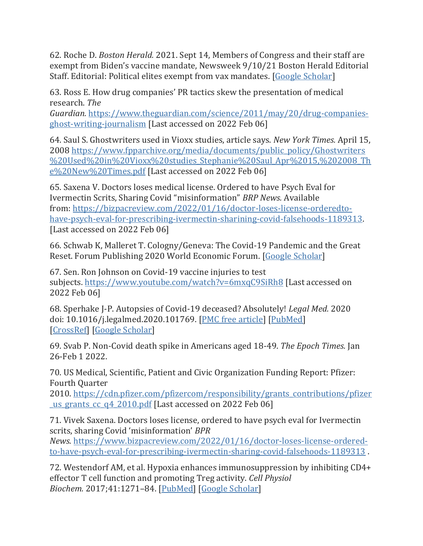62. Roche D. *Boston Herald.* 2021. Sept 14, Members of Congress and their staff are exempt from Biden's vaccine mandate, Newsweek 9/10/21 Boston Herald Editorial Staff. Editorial: Political elites exempt from vax mandates. [\[Google Scholar\]](https://scholar.google.com/scholar_lookup?title=Boston+Herald&author=D+Roche&publication_year=2021&)

63. Ross E. How drug companies' PR tactics skew the presentation of medical research. *The* 

*Guardian.* [https://www.theguardian.com/science/2011/may/20/drug-companies](https://www.theguardian.com/science/2011/may/20/drug-companies-ghost-writing-journalism)[ghost-writing-journalism](https://www.theguardian.com/science/2011/may/20/drug-companies-ghost-writing-journalism) [Last accessed on 2022 Feb 06]

64. Saul S. Ghostwriters used in Vioxx studies, article says. *New York Times.* April 15, 2008 [https://www.fpparchive.org/media/documents/public\\_policy/Ghostwriters](https://www.fpparchive.org/media/documents/public_policy/Ghostwriters%20Used%20in%20Vioxx%20studies_Stephanie%20Saul_Apr%2015,%202008_The%20New%20Times.pdf) [%20Used%20in%20Vioxx%20studies\\_Stephanie%20Saul\\_Apr%2015,%202008\\_Th](https://www.fpparchive.org/media/documents/public_policy/Ghostwriters%20Used%20in%20Vioxx%20studies_Stephanie%20Saul_Apr%2015,%202008_The%20New%20Times.pdf) [e%20New%20Times.pdf](https://www.fpparchive.org/media/documents/public_policy/Ghostwriters%20Used%20in%20Vioxx%20studies_Stephanie%20Saul_Apr%2015,%202008_The%20New%20Times.pdf) [Last accessed on 2022 Feb 06]

65. Saxena V. Doctors loses medical license. Ordered to have Psych Eval for Ivermectin Scrits, Sharing Covid "misinformation" *BRP News.* Available from: [https://bizpacreview.com/2022/01/16/doctor-loses-license-orderedto](https://bizpacreview.com/2022/01/16/doctor-loses-license-orderedto-have-psych-eval-for-prescribing-ivermectin-sharining-covid-falsehoods-1189313)[have-psych-eval-for-prescribing-ivermectin-sharining-covid-falsehoods-1189313.](https://bizpacreview.com/2022/01/16/doctor-loses-license-orderedto-have-psych-eval-for-prescribing-ivermectin-sharining-covid-falsehoods-1189313) [Last accessed on 2022 Feb 06]

66. Schwab K, Malleret T. Cologny/Geneva: The Covid-19 Pandemic and the Great Reset. Forum Publishing 2020 World Economic Forum. [\[Google Scholar\]](https://scholar.google.com/scholar?q=Schwab+K+Malleret+T+The+Covid-19+Pandemic+and+the+Great+Reset.+Forum+Publishing+2020+World+Economic+Forum+Cologny/Geneva+)

67. Sen. Ron Johnson on Covid-19 vaccine injuries to test subjects. <https://www.youtube.com/watch?v=6mxqC9SiRh8> [Last accessed on 2022 Feb 06]

68. Sperhake J-P. Autopsies of Covid-19 deceased? Absolutely! *Legal Med.* 2020 doi: 10.1016/j.legalmed.2020.101769. [\[PMC free article\]](https://www.ncbi.nlm.nih.gov/pmc/articles/PMC7382931/) [\[PubMed\]](https://pubmed.ncbi.nlm.nih.gov/32739876) [\[CrossRef\]](https://doi.org/10.1016%2Fj.legalmed.2020.101769) [\[Google Scholar\]](https://scholar.google.com/scholar_lookup?journal=Legal+Med&title=Autopsies+of+Covid-19+deceased?+Absolutely!&author=J-P+Sperhake&publication_year=2020&doi=10.1016/j.legalmed.2020.101769&)

69. Svab P. Non-Covid death spike in Americans aged 18-49. *The Epoch Times.* Jan 26-Feb 1 2022.

70. US Medical, Scientific, Patient and Civic Organization Funding Report: Pfizer: Fourth Quarter

2010. [https://cdn.pfizer.com/pfizercom/responsibility/grants\\_contributions/pfizer](https://cdn.pfizer.com/pfizercom/responsibility/grants_contributions/pfizer_us_grants_cc_q4_2010.pdf) us grants cc q4 2010.pdf [Last accessed on 2022 Feb 06]

71. Vivek Saxena. Doctors loses license, ordered to have psych eval for Ivermectin scrits, sharing Covid 'misinformation' *BPR* 

*News.* [https://www.bizpacreview.com/2022/01/16/doctor-loses-license-ordered](https://www.bizpacreview.com/2022/01/16/doctor-loses-license-ordered-to-have-psych-eval-for-prescribing-ivermectin-sharing-covid-falsehoods-1189313)[to-have-psych-eval-for-prescribing-ivermectin-sharing-covid-falsehoods-1189313](https://www.bizpacreview.com/2022/01/16/doctor-loses-license-ordered-to-have-psych-eval-for-prescribing-ivermectin-sharing-covid-falsehoods-1189313) .

72. Westendorf AM, et al. Hypoxia enhances immunosuppression by inhibiting CD4+ effector T cell function and promoting Treg activity. *Cell Physiol Biochem.* 2017;41:1271–84. [\[PubMed\]](https://pubmed.ncbi.nlm.nih.gov/28278498) [\[Google Scholar\]](https://scholar.google.com/scholar_lookup?journal=Cell+Physiol+Biochem&title=Hypoxia+enhances+immunosuppression+by+inhibiting+CD4++effector+T+cell+function+and+promoting+Treg+activity&author=AM+Westendorf&volume=41&publication_year=2017&pages=1271-84&pmid=28278498&)